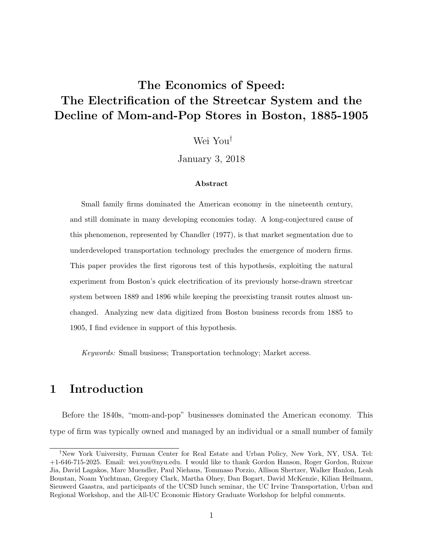# <span id="page-0-0"></span>The Economics of Speed: The Electrification of the Streetcar System and the Decline of Mom-and-Pop Stores in Boston, 1885-1905

Wei You†

January 3, 2018

#### Abstract

Small family firms dominated the American economy in the nineteenth century, and still dominate in many developing economies today. A long-conjectured cause of this phenomenon, represented by Chandler (1977), is that market segmentation due to underdeveloped transportation technology precludes the emergence of modern firms. This paper provides the first rigorous test of this hypothesis, exploiting the natural experiment from Boston's quick electrification of its previously horse-drawn streetcar system between 1889 and 1896 while keeping the preexisting transit routes almost unchanged. Analyzing new data digitized from Boston business records from 1885 to 1905, I find evidence in support of this hypothesis.

Keywords: Small business; Transportation technology; Market access.

# 1 Introduction

Before the 1840s, "mom-and-pop" businesses dominated the American economy. This type of firm was typically owned and managed by an individual or a small number of family

<sup>†</sup>New York University, Furman Center for Real Estate and Urban Policy, New York, NY, USA. Tel: +1-646-715-2025. Email: wei.you@nyu.edu. I would like to thank Gordon Hanson, Roger Gordon, Ruixue Jia, David Lagakos, Marc Muendler, Paul Niehaus, Tommaso Porzio, Allison Shertzer, Walker Hanlon, Leah Boustan, Noam Yuchtman, Gregory Clark, Martha Olney, Dan Bogart, David McKenzie, Kilian Heilmann, Sieuwerd Gaastra, and participants of the UCSD lunch seminar, the UC Irvine Transportation, Urban and Regional Workshop, and the All-UC Economic History Graduate Workshop for helpful comments.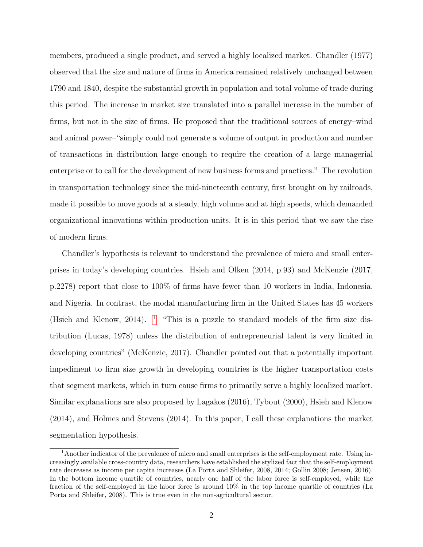members, produced a single product, and served a highly localized market. Chandler (1977) observed that the size and nature of firms in America remained relatively unchanged between 1790 and 1840, despite the substantial growth in population and total volume of trade during this period. The increase in market size translated into a parallel increase in the number of firms, but not in the size of firms. He proposed that the traditional sources of energy–wind and animal power–"simply could not generate a volume of output in production and number of transactions in distribution large enough to require the creation of a large managerial enterprise or to call for the development of new business forms and practices." The revolution in transportation technology since the mid-nineteenth century, first brought on by railroads, made it possible to move goods at a steady, high volume and at high speeds, which demanded organizational innovations within production units. It is in this period that we saw the rise of modern firms.

Chandler's hypothesis is relevant to understand the prevalence of micro and small enterprises in today's developing countries. Hsieh and Olken (2014, p.93) and McKenzie (2017, p.2278) report that close to 100% of firms have fewer than 10 workers in India, Indonesia, and Nigeria. In contrast, the modal manufacturing firm in the United States has 45 workers (Hsieh and Klenow, 20[1](#page-0-0)4). <sup>1</sup> "This is a puzzle to standard models of the firm size distribution (Lucas, 1978) unless the distribution of entrepreneurial talent is very limited in developing countries" (McKenzie, 2017). Chandler pointed out that a potentially important impediment to firm size growth in developing countries is the higher transportation costs that segment markets, which in turn cause firms to primarily serve a highly localized market. Similar explanations are also proposed by Lagakos (2016), Tybout (2000), Hsieh and Klenow (2014), and Holmes and Stevens (2014). In this paper, I call these explanations the market segmentation hypothesis.

 $1<sup>1</sup>$ Another indicator of the prevalence of micro and small enterprises is the self-employment rate. Using increasingly available cross-country data, researchers have established the stylized fact that the self-employment rate decreases as income per capita increases (La Porta and Shleifer, 2008, 2014; Gollin 2008; Jensen, 2016). In the bottom income quartile of countries, nearly one half of the labor force is self-employed, while the fraction of the self-employed in the labor force is around 10% in the top income quartile of countries (La Porta and Shleifer, 2008). This is true even in the non-agricultural sector.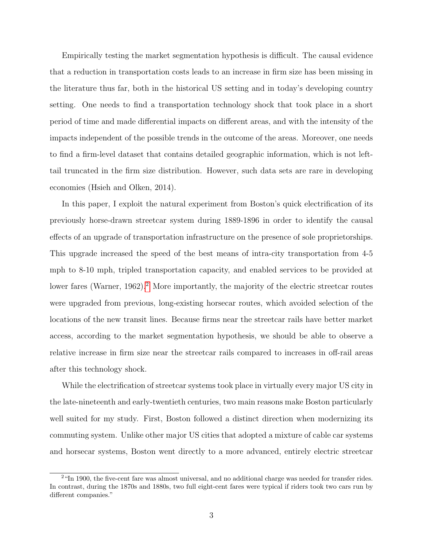Empirically testing the market segmentation hypothesis is difficult. The causal evidence that a reduction in transportation costs leads to an increase in firm size has been missing in the literature thus far, both in the historical US setting and in today's developing country setting. One needs to find a transportation technology shock that took place in a short period of time and made differential impacts on different areas, and with the intensity of the impacts independent of the possible trends in the outcome of the areas. Moreover, one needs to find a firm-level dataset that contains detailed geographic information, which is not lefttail truncated in the firm size distribution. However, such data sets are rare in developing economies (Hsieh and Olken, 2014).

In this paper, I exploit the natural experiment from Boston's quick electrification of its previously horse-drawn streetcar system during 1889-1896 in order to identify the causal effects of an upgrade of transportation infrastructure on the presence of sole proprietorships. This upgrade increased the speed of the best means of intra-city transportation from 4-5 mph to 8-10 mph, tripled transportation capacity, and enabled services to be provided at lower fares (Warner, 196[2](#page-0-0)).<sup>2</sup> More importantly, the majority of the electric streetcar routes were upgraded from previous, long-existing horsecar routes, which avoided selection of the locations of the new transit lines. Because firms near the streetcar rails have better market access, according to the market segmentation hypothesis, we should be able to observe a relative increase in firm size near the streetcar rails compared to increases in off-rail areas after this technology shock.

While the electrification of streetcar systems took place in virtually every major US city in the late-nineteenth and early-twentieth centuries, two main reasons make Boston particularly well suited for my study. First, Boston followed a distinct direction when modernizing its commuting system. Unlike other major US cities that adopted a mixture of cable car systems and horsecar systems, Boston went directly to a more advanced, entirely electric streetcar

<sup>&</sup>lt;sup>2</sup>"In 1900, the five-cent fare was almost universal, and no additional charge was needed for transfer rides. In contrast, during the 1870s and 1880s, two full eight-cent fares were typical if riders took two cars run by different companies."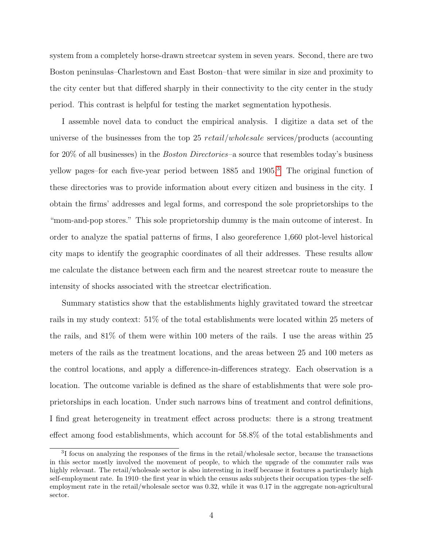system from a completely horse-drawn streetcar system in seven years. Second, there are two Boston peninsulas–Charlestown and East Boston–that were similar in size and proximity to the city center but that differed sharply in their connectivity to the city center in the study period. This contrast is helpful for testing the market segmentation hypothesis.

I assemble novel data to conduct the empirical analysis. I digitize a data set of the universe of the businesses from the top 25 retail/wholesale services/products (accounting for 20% of all businesses) in the *Boston Directories*–a source that resembles today's business yellow pages–for each five-year period between 1885 and 1905.[3](#page-0-0) The original function of these directories was to provide information about every citizen and business in the city. I obtain the firms' addresses and legal forms, and correspond the sole proprietorships to the "mom-and-pop stores." This sole proprietorship dummy is the main outcome of interest. In order to analyze the spatial patterns of firms, I also georeference 1,660 plot-level historical city maps to identify the geographic coordinates of all their addresses. These results allow me calculate the distance between each firm and the nearest streetcar route to measure the intensity of shocks associated with the streetcar electrification.

Summary statistics show that the establishments highly gravitated toward the streetcar rails in my study context: 51% of the total establishments were located within 25 meters of the rails, and 81% of them were within 100 meters of the rails. I use the areas within 25 meters of the rails as the treatment locations, and the areas between 25 and 100 meters as the control locations, and apply a difference-in-differences strategy. Each observation is a location. The outcome variable is defined as the share of establishments that were sole proprietorships in each location. Under such narrows bins of treatment and control definitions, I find great heterogeneity in treatment effect across products: there is a strong treatment effect among food establishments, which account for 58.8% of the total establishments and

<sup>&</sup>lt;sup>3</sup>I focus on analyzing the responses of the firms in the retail/wholesale sector, because the transactions in this sector mostly involved the movement of people, to which the upgrade of the commuter rails was highly relevant. The retail/wholesale sector is also interesting in itself because it features a particularly high self-employment rate. In 1910–the first year in which the census asks subjects their occupation types–the selfemployment rate in the retail/wholesale sector was 0.32, while it was 0.17 in the aggregate non-agricultural sector.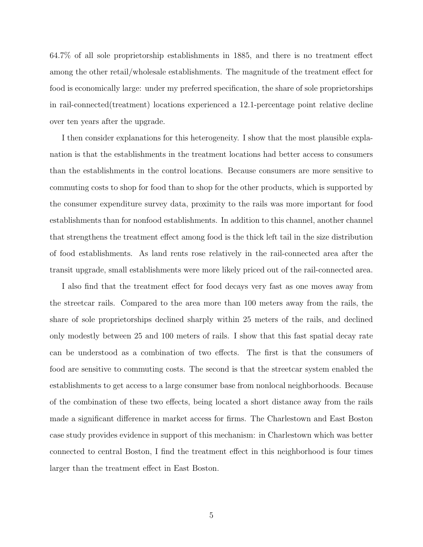64.7% of all sole proprietorship establishments in 1885, and there is no treatment effect among the other retail/wholesale establishments. The magnitude of the treatment effect for food is economically large: under my preferred specification, the share of sole proprietorships in rail-connected(treatment) locations experienced a 12.1-percentage point relative decline over ten years after the upgrade.

I then consider explanations for this heterogeneity. I show that the most plausible explanation is that the establishments in the treatment locations had better access to consumers than the establishments in the control locations. Because consumers are more sensitive to commuting costs to shop for food than to shop for the other products, which is supported by the consumer expenditure survey data, proximity to the rails was more important for food establishments than for nonfood establishments. In addition to this channel, another channel that strengthens the treatment effect among food is the thick left tail in the size distribution of food establishments. As land rents rose relatively in the rail-connected area after the transit upgrade, small establishments were more likely priced out of the rail-connected area.

I also find that the treatment effect for food decays very fast as one moves away from the streetcar rails. Compared to the area more than 100 meters away from the rails, the share of sole proprietorships declined sharply within 25 meters of the rails, and declined only modestly between 25 and 100 meters of rails. I show that this fast spatial decay rate can be understood as a combination of two effects. The first is that the consumers of food are sensitive to commuting costs. The second is that the streetcar system enabled the establishments to get access to a large consumer base from nonlocal neighborhoods. Because of the combination of these two effects, being located a short distance away from the rails made a significant difference in market access for firms. The Charlestown and East Boston case study provides evidence in support of this mechanism: in Charlestown which was better connected to central Boston, I find the treatment effect in this neighborhood is four times larger than the treatment effect in East Boston.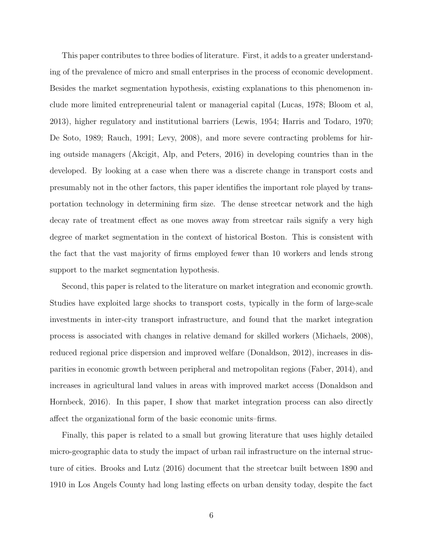This paper contributes to three bodies of literature. First, it adds to a greater understanding of the prevalence of micro and small enterprises in the process of economic development. Besides the market segmentation hypothesis, existing explanations to this phenomenon include more limited entrepreneurial talent or managerial capital (Lucas, 1978; Bloom et al, 2013), higher regulatory and institutional barriers (Lewis, 1954; Harris and Todaro, 1970; De Soto, 1989; Rauch, 1991; Levy, 2008), and more severe contracting problems for hiring outside managers (Akcigit, Alp, and Peters, 2016) in developing countries than in the developed. By looking at a case when there was a discrete change in transport costs and presumably not in the other factors, this paper identifies the important role played by transportation technology in determining firm size. The dense streetcar network and the high decay rate of treatment effect as one moves away from streetcar rails signify a very high degree of market segmentation in the context of historical Boston. This is consistent with the fact that the vast majority of firms employed fewer than 10 workers and lends strong support to the market segmentation hypothesis.

Second, this paper is related to the literature on market integration and economic growth. Studies have exploited large shocks to transport costs, typically in the form of large-scale investments in inter-city transport infrastructure, and found that the market integration process is associated with changes in relative demand for skilled workers (Michaels, 2008), reduced regional price dispersion and improved welfare (Donaldson, 2012), increases in disparities in economic growth between peripheral and metropolitan regions (Faber, 2014), and increases in agricultural land values in areas with improved market access (Donaldson and Hornbeck, 2016). In this paper, I show that market integration process can also directly affect the organizational form of the basic economic units–firms.

Finally, this paper is related to a small but growing literature that uses highly detailed micro-geographic data to study the impact of urban rail infrastructure on the internal structure of cities. Brooks and Lutz (2016) document that the streetcar built between 1890 and 1910 in Los Angels County had long lasting effects on urban density today, despite the fact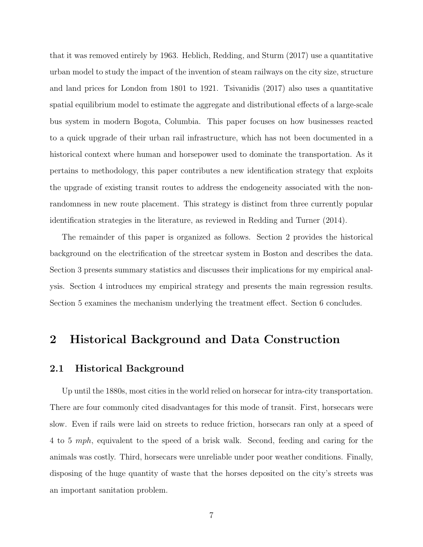that it was removed entirely by 1963. Heblich, Redding, and Sturm (2017) use a quantitative urban model to study the impact of the invention of steam railways on the city size, structure and land prices for London from 1801 to 1921. Tsivanidis (2017) also uses a quantitative spatial equilibrium model to estimate the aggregate and distributional effects of a large-scale bus system in modern Bogota, Columbia. This paper focuses on how businesses reacted to a quick upgrade of their urban rail infrastructure, which has not been documented in a historical context where human and horsepower used to dominate the transportation. As it pertains to methodology, this paper contributes a new identification strategy that exploits the upgrade of existing transit routes to address the endogeneity associated with the nonrandomness in new route placement. This strategy is distinct from three currently popular identification strategies in the literature, as reviewed in Redding and Turner (2014).

The remainder of this paper is organized as follows. Section 2 provides the historical background on the electrification of the streetcar system in Boston and describes the data. Section 3 presents summary statistics and discusses their implications for my empirical analysis. Section 4 introduces my empirical strategy and presents the main regression results. Section 5 examines the mechanism underlying the treatment effect. Section 6 concludes.

# 2 Historical Background and Data Construction

### 2.1 Historical Background

Up until the 1880s, most cities in the world relied on horsecar for intra-city transportation. There are four commonly cited disadvantages for this mode of transit. First, horsecars were slow. Even if rails were laid on streets to reduce friction, horsecars ran only at a speed of 4 to 5 mph, equivalent to the speed of a brisk walk. Second, feeding and caring for the animals was costly. Third, horsecars were unreliable under poor weather conditions. Finally, disposing of the huge quantity of waste that the horses deposited on the city's streets was an important sanitation problem.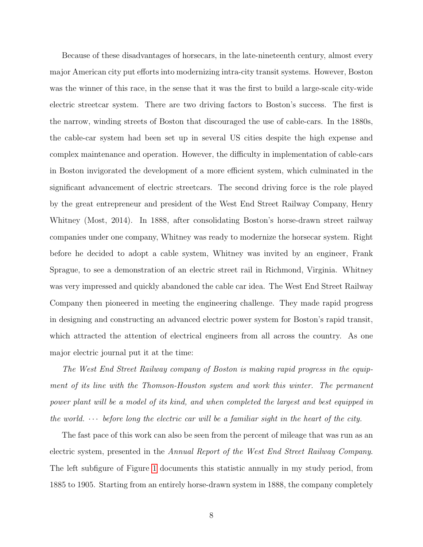Because of these disadvantages of horsecars, in the late-nineteenth century, almost every major American city put efforts into modernizing intra-city transit systems. However, Boston was the winner of this race, in the sense that it was the first to build a large-scale city-wide electric streetcar system. There are two driving factors to Boston's success. The first is the narrow, winding streets of Boston that discouraged the use of cable-cars. In the 1880s, the cable-car system had been set up in several US cities despite the high expense and complex maintenance and operation. However, the difficulty in implementation of cable-cars in Boston invigorated the development of a more efficient system, which culminated in the significant advancement of electric streetcars. The second driving force is the role played by the great entrepreneur and president of the West End Street Railway Company, Henry Whitney (Most, 2014). In 1888, after consolidating Boston's horse-drawn street railway companies under one company, Whitney was ready to modernize the horsecar system. Right before he decided to adopt a cable system, Whitney was invited by an engineer, Frank Sprague, to see a demonstration of an electric street rail in Richmond, Virginia. Whitney was very impressed and quickly abandoned the cable car idea. The West End Street Railway Company then pioneered in meeting the engineering challenge. They made rapid progress in designing and constructing an advanced electric power system for Boston's rapid transit, which attracted the attention of electrical engineers from all across the country. As one major electric journal put it at the time:

The West End Street Railway company of Boston is making rapid progress in the equipment of its line with the Thomson-Houston system and work this winter. The permanent power plant will be a model of its kind, and when completed the largest and best equipped in the world.  $\cdots$  before long the electric car will be a familiar sight in the heart of the city.

The fast pace of this work can also be seen from the percent of mileage that was run as an electric system, presented in the Annual Report of the West End Street Railway Company. The left subfigure of Figure [1](#page-33-0) documents this statistic annually in my study period, from 1885 to 1905. Starting from an entirely horse-drawn system in 1888, the company completely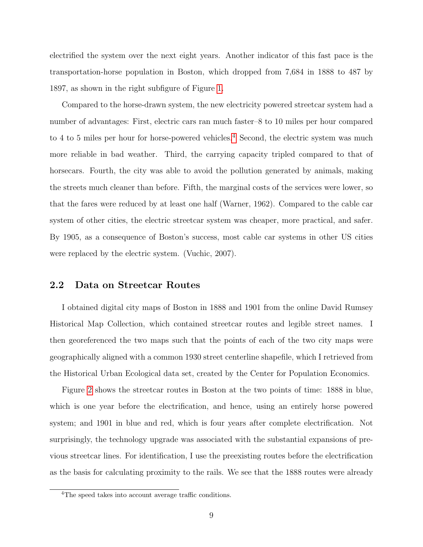electrified the system over the next eight years. Another indicator of this fast pace is the transportation-horse population in Boston, which dropped from 7,684 in 1888 to 487 by 1897, as shown in the right subfigure of Figure [1.](#page-33-0)

Compared to the horse-drawn system, the new electricity powered streetcar system had a number of advantages: First, electric cars ran much faster–8 to 10 miles per hour compared to [4](#page-0-0) to 5 miles per hour for horse-powered vehicles.<sup>4</sup> Second, the electric system was much more reliable in bad weather. Third, the carrying capacity tripled compared to that of horsecars. Fourth, the city was able to avoid the pollution generated by animals, making the streets much cleaner than before. Fifth, the marginal costs of the services were lower, so that the fares were reduced by at least one half (Warner, 1962). Compared to the cable car system of other cities, the electric streetcar system was cheaper, more practical, and safer. By 1905, as a consequence of Boston's success, most cable car systems in other US cities were replaced by the electric system. (Vuchic, 2007).

#### 2.2 Data on Streetcar Routes

I obtained digital city maps of Boston in 1888 and 1901 from the online David Rumsey Historical Map Collection, which contained streetcar routes and legible street names. I then georeferenced the two maps such that the points of each of the two city maps were geographically aligned with a common 1930 street centerline shapefile, which I retrieved from the Historical Urban Ecological data set, created by the Center for Population Economics.

Figure [2](#page-34-0) shows the streetcar routes in Boston at the two points of time: 1888 in blue, which is one year before the electrification, and hence, using an entirely horse powered system; and 1901 in blue and red, which is four years after complete electrification. Not surprisingly, the technology upgrade was associated with the substantial expansions of previous streetcar lines. For identification, I use the preexisting routes before the electrification as the basis for calculating proximity to the rails. We see that the 1888 routes were already

<sup>&</sup>lt;sup>4</sup>The speed takes into account average traffic conditions.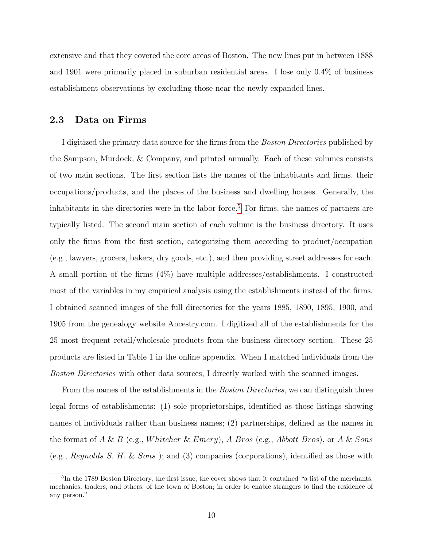extensive and that they covered the core areas of Boston. The new lines put in between 1888 and 1901 were primarily placed in suburban residential areas. I lose only 0.4% of business establishment observations by excluding those near the newly expanded lines.

#### 2.3 Data on Firms

I digitized the primary data source for the firms from the *Boston Directories* published by the Sampson, Murdock, & Company, and printed annually. Each of these volumes consists of two main sections. The first section lists the names of the inhabitants and firms, their occupations/products, and the places of the business and dwelling houses. Generally, the inhabitants in the directories were in the labor force.<sup>[5](#page-0-0)</sup> For firms, the names of partners are typically listed. The second main section of each volume is the business directory. It uses only the firms from the first section, categorizing them according to product/occupation (e.g., lawyers, grocers, bakers, dry goods, etc.), and then providing street addresses for each. A small portion of the firms (4%) have multiple addresses/establishments. I constructed most of the variables in my empirical analysis using the establishments instead of the firms. I obtained scanned images of the full directories for the years 1885, 1890, 1895, 1900, and 1905 from the genealogy website Ancestry.com. I digitized all of the establishments for the 25 most frequent retail/wholesale products from the business directory section. These 25 products are listed in Table 1 in the online appendix. When I matched individuals from the Boston Directories with other data sources, I directly worked with the scanned images.

From the names of the establishments in the *Boston Directories*, we can distinguish three legal forms of establishments: (1) sole proprietorships, identified as those listings showing names of individuals rather than business names; (2) partnerships, defined as the names in the format of A & B (e.g., Whitcher & Emery), A Bros (e.g., Abbott Bros), or A & Sons (e.g., Reynolds S. H. & Sons ); and (3) companies (corporations), identified as those with

<sup>&</sup>lt;sup>5</sup>In the 1789 Boston Directory, the first issue, the cover shows that it contained "a list of the merchants, mechanics, traders, and others, of the town of Boston; in order to enable strangers to find the residence of any person."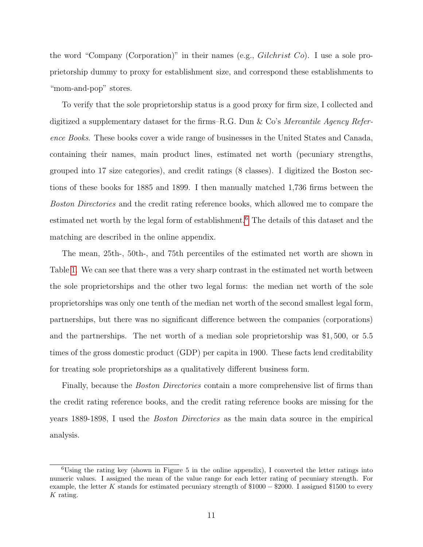the word "Company (Corporation)" in their names (e.g.,  $Gilchrist\;Co$ ). I use a sole proprietorship dummy to proxy for establishment size, and correspond these establishments to "mom-and-pop" stores.

To verify that the sole proprietorship status is a good proxy for firm size, I collected and digitized a supplementary dataset for the firms–R.G. Dun & Co's Mercantile Agency Reference Books. These books cover a wide range of businesses in the United States and Canada, containing their names, main product lines, estimated net worth (pecuniary strengths, grouped into 17 size categories), and credit ratings (8 classes). I digitized the Boston sections of these books for 1885 and 1899. I then manually matched 1,736 firms between the Boston Directories and the credit rating reference books, which allowed me to compare the estimated net worth by the legal form of establishment.<sup>[6](#page-0-0)</sup> The details of this dataset and the matching are described in the online appendix.

The mean, 25th-, 50th-, and 75th percentiles of the estimated net worth are shown in Table [1.](#page-43-0) We can see that there was a very sharp contrast in the estimated net worth between the sole proprietorships and the other two legal forms: the median net worth of the sole proprietorships was only one tenth of the median net worth of the second smallest legal form, partnerships, but there was no significant difference between the companies (corporations) and the partnerships. The net worth of a median sole proprietorship was \$1, 500, or 5.5 times of the gross domestic product (GDP) per capita in 1900. These facts lend creditability for treating sole proprietorships as a qualitatively different business form.

Finally, because the *Boston Directories* contain a more comprehensive list of firms than the credit rating reference books, and the credit rating reference books are missing for the years 1889-1898, I used the Boston Directories as the main data source in the empirical analysis.

 $6$ Using the rating key (shown in Figure 5 in the online appendix), I converted the letter ratings into numeric values. I assigned the mean of the value range for each letter rating of pecuniary strength. For example, the letter K stands for estimated pecuniary strength of \$1000 − \$2000. I assigned \$1500 to every K rating.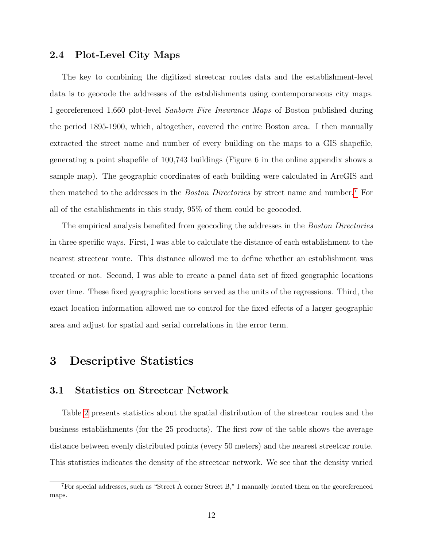### 2.4 Plot-Level City Maps

The key to combining the digitized streetcar routes data and the establishment-level data is to geocode the addresses of the establishments using contemporaneous city maps. I georeferenced 1,660 plot-level Sanborn Fire Insurance Maps of Boston published during the period 1895-1900, which, altogether, covered the entire Boston area. I then manually extracted the street name and number of every building on the maps to a GIS shapefile, generating a point shapefile of 100,743 buildings (Figure 6 in the online appendix shows a sample map). The geographic coordinates of each building were calculated in ArcGIS and then matched to the addresses in the *Boston Directories* by street name and number.<sup>[7](#page-0-0)</sup> For all of the establishments in this study, 95% of them could be geocoded.

The empirical analysis benefited from geocoding the addresses in the *Boston Directories* in three specific ways. First, I was able to calculate the distance of each establishment to the nearest streetcar route. This distance allowed me to define whether an establishment was treated or not. Second, I was able to create a panel data set of fixed geographic locations over time. These fixed geographic locations served as the units of the regressions. Third, the exact location information allowed me to control for the fixed effects of a larger geographic area and adjust for spatial and serial correlations in the error term.

# 3 Descriptive Statistics

#### 3.1 Statistics on Streetcar Network

Table [2](#page-44-0) presents statistics about the spatial distribution of the streetcar routes and the business establishments (for the 25 products). The first row of the table shows the average distance between evenly distributed points (every 50 meters) and the nearest streetcar route. This statistics indicates the density of the streetcar network. We see that the density varied

<sup>7</sup>For special addresses, such as "Street A corner Street B," I manually located them on the georeferenced maps.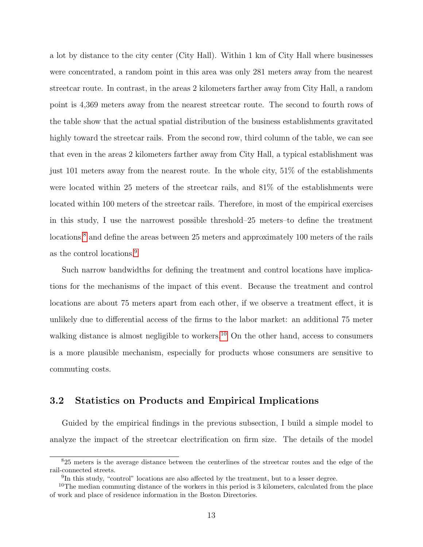a lot by distance to the city center (City Hall). Within 1 km of City Hall where businesses were concentrated, a random point in this area was only 281 meters away from the nearest streetcar route. In contrast, in the areas 2 kilometers farther away from City Hall, a random point is 4,369 meters away from the nearest streetcar route. The second to fourth rows of the table show that the actual spatial distribution of the business establishments gravitated highly toward the streetcar rails. From the second row, third column of the table, we can see that even in the areas 2 kilometers farther away from City Hall, a typical establishment was just 101 meters away from the nearest route. In the whole city, 51% of the establishments were located within 25 meters of the streetcar rails, and 81% of the establishments were located within 100 meters of the streetcar rails. Therefore, in most of the empirical exercises in this study, I use the narrowest possible threshold–25 meters–to define the treatment locations,<sup>[8](#page-0-0)</sup> and define the areas between 25 meters and approximately 100 meters of the rails as the control locations.<sup>[9](#page-0-0)</sup>

Such narrow bandwidths for defining the treatment and control locations have implications for the mechanisms of the impact of this event. Because the treatment and control locations are about 75 meters apart from each other, if we observe a treatment effect, it is unlikely due to differential access of the firms to the labor market: an additional 75 meter walking distance is almost negligible to workers.<sup>[10](#page-0-0)</sup> On the other hand, access to consumers is a more plausible mechanism, especially for products whose consumers are sensitive to commuting costs.

### 3.2 Statistics on Products and Empirical Implications

Guided by the empirical findings in the previous subsection, I build a simple model to analyze the impact of the streetcar electrification on firm size. The details of the model

<sup>8</sup>25 meters is the average distance between the centerlines of the streetcar routes and the edge of the rail-connected streets.

<sup>&</sup>lt;sup>9</sup>In this study, "control" locations are also affected by the treatment, but to a lesser degree.

 $10$ The median commuting distance of the workers in this period is 3 kilometers, calculated from the place of work and place of residence information in the Boston Directories.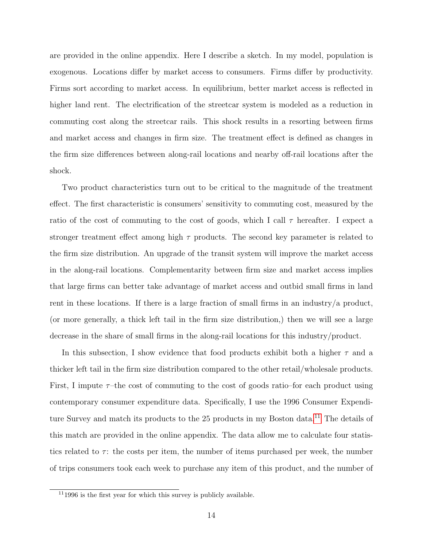are provided in the online appendix. Here I describe a sketch. In my model, population is exogenous. Locations differ by market access to consumers. Firms differ by productivity. Firms sort according to market access. In equilibrium, better market access is reflected in higher land rent. The electrification of the streetcar system is modeled as a reduction in commuting cost along the streetcar rails. This shock results in a resorting between firms and market access and changes in firm size. The treatment effect is defined as changes in the firm size differences between along-rail locations and nearby off-rail locations after the shock.

Two product characteristics turn out to be critical to the magnitude of the treatment effect. The first characteristic is consumers' sensitivity to commuting cost, measured by the ratio of the cost of commuting to the cost of goods, which I call  $\tau$  hereafter. I expect a stronger treatment effect among high  $\tau$  products. The second key parameter is related to the firm size distribution. An upgrade of the transit system will improve the market access in the along-rail locations. Complementarity between firm size and market access implies that large firms can better take advantage of market access and outbid small firms in land rent in these locations. If there is a large fraction of small firms in an industry/a product, (or more generally, a thick left tail in the firm size distribution,) then we will see a large decrease in the share of small firms in the along-rail locations for this industry/product.

In this subsection, I show evidence that food products exhibit both a higher  $\tau$  and a thicker left tail in the firm size distribution compared to the other retail/wholesale products. First, I impute  $\tau$ -the cost of commuting to the cost of goods ratio–for each product using contemporary consumer expenditure data. Specifically, I use the 1996 Consumer Expendi-ture Survey and match its products to the 25 products in my Boston data.<sup>[11](#page-0-0)</sup> The details of this match are provided in the online appendix. The data allow me to calculate four statistics related to  $\tau$ : the costs per item, the number of items purchased per week, the number of trips consumers took each week to purchase any item of this product, and the number of

 $111996$  is the first year for which this survey is publicly available.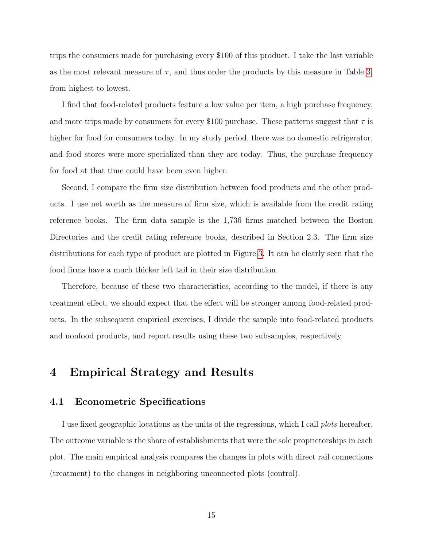trips the consumers made for purchasing every \$100 of this product. I take the last variable as the most relevant measure of  $\tau$ , and thus order the products by this measure in Table [3,](#page-45-0) from highest to lowest.

I find that food-related products feature a low value per item, a high purchase frequency, and more trips made by consumers for every \$100 purchase. These patterns suggest that  $\tau$  is higher for food for consumers today. In my study period, there was no domestic refrigerator, and food stores were more specialized than they are today. Thus, the purchase frequency for food at that time could have been even higher.

Second, I compare the firm size distribution between food products and the other products. I use net worth as the measure of firm size, which is available from the credit rating reference books. The firm data sample is the 1,736 firms matched between the Boston Directories and the credit rating reference books, described in Section 2.3. The firm size distributions for each type of product are plotted in Figure [3.](#page-35-0) It can be clearly seen that the food firms have a much thicker left tail in their size distribution.

Therefore, because of these two characteristics, according to the model, if there is any treatment effect, we should expect that the effect will be stronger among food-related products. In the subsequent empirical exercises, I divide the sample into food-related products and nonfood products, and report results using these two subsamples, respectively.

# 4 Empirical Strategy and Results

### 4.1 Econometric Specifications

I use fixed geographic locations as the units of the regressions, which I call *plots* hereafter. The outcome variable is the share of establishments that were the sole proprietorships in each plot. The main empirical analysis compares the changes in plots with direct rail connections (treatment) to the changes in neighboring unconnected plots (control).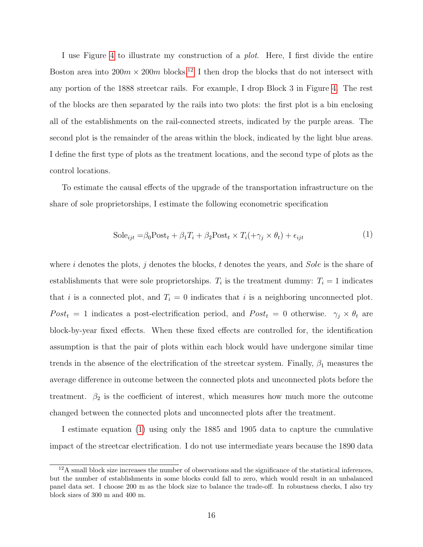I use Figure [4](#page-36-0) to illustrate my construction of a *plot*. Here, I first divide the entire Boston area into  $200m \times 200m$  blocks.<sup>[12](#page-0-0)</sup> I then drop the blocks that do not intersect with any portion of the 1888 streetcar rails. For example, I drop Block 3 in Figure [4.](#page-36-0) The rest of the blocks are then separated by the rails into two plots: the first plot is a bin enclosing all of the establishments on the rail-connected streets, indicated by the purple areas. The second plot is the remainder of the areas within the block, indicated by the light blue areas. I define the first type of plots as the treatment locations, and the second type of plots as the control locations.

To estimate the causal effects of the upgrade of the transportation infrastructure on the share of sole proprietorships, I estimate the following econometric specification

<span id="page-15-0"></span>
$$
Sole_{ijt} = \beta_0 Post_t + \beta_1 T_i + \beta_2 Post_t \times T_i(+\gamma_j \times \theta_t) + \epsilon_{ijt}
$$
\n(1)

where i denotes the plots, j denotes the blocks, t denotes the years, and  $Sole$  is the share of establishments that were sole proprietorships.  $T_i$  is the treatment dummy:  $T_i = 1$  indicates that i is a connected plot, and  $T_i = 0$  indicates that i is a neighboring unconnected plot.  $Post<sub>t</sub> = 1$  indicates a post-electrification period, and  $Post<sub>t</sub> = 0$  otherwise.  $\gamma_j \times \theta_t$  are block-by-year fixed effects. When these fixed effects are controlled for, the identification assumption is that the pair of plots within each block would have undergone similar time trends in the absence of the electrification of the streetcar system. Finally,  $\beta_1$  measures the average difference in outcome between the connected plots and unconnected plots before the treatment.  $\beta_2$  is the coefficient of interest, which measures how much more the outcome changed between the connected plots and unconnected plots after the treatment.

I estimate equation [\(1\)](#page-15-0) using only the 1885 and 1905 data to capture the cumulative impact of the streetcar electrification. I do not use intermediate years because the 1890 data

 $12A$  small block size increases the number of observations and the significance of the statistical inferences, but the number of establishments in some blocks could fall to zero, which would result in an unbalanced panel data set. I choose 200 m as the block size to balance the trade-off. In robustness checks, I also try block sizes of 300 m and 400 m.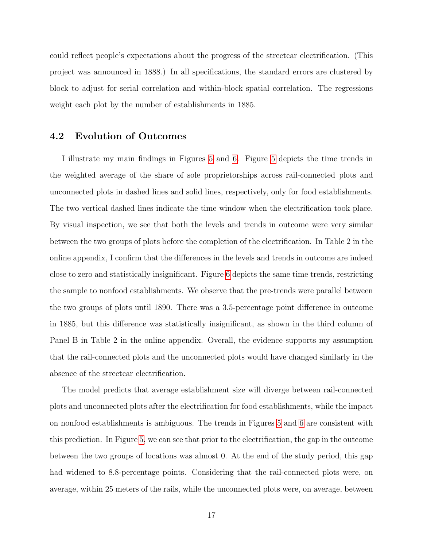could reflect people's expectations about the progress of the streetcar electrification. (This project was announced in 1888.) In all specifications, the standard errors are clustered by block to adjust for serial correlation and within-block spatial correlation. The regressions weight each plot by the number of establishments in 1885.

### 4.2 Evolution of Outcomes

I illustrate my main findings in Figures [5](#page-37-0) and [6.](#page-38-0) Figure [5](#page-37-0) depicts the time trends in the weighted average of the share of sole proprietorships across rail-connected plots and unconnected plots in dashed lines and solid lines, respectively, only for food establishments. The two vertical dashed lines indicate the time window when the electrification took place. By visual inspection, we see that both the levels and trends in outcome were very similar between the two groups of plots before the completion of the electrification. In Table 2 in the online appendix, I confirm that the differences in the levels and trends in outcome are indeed close to zero and statistically insignificant. Figure [6](#page-38-0) depicts the same time trends, restricting the sample to nonfood establishments. We observe that the pre-trends were parallel between the two groups of plots until 1890. There was a 3.5-percentage point difference in outcome in 1885, but this difference was statistically insignificant, as shown in the third column of Panel B in Table 2 in the online appendix. Overall, the evidence supports my assumption that the rail-connected plots and the unconnected plots would have changed similarly in the absence of the streetcar electrification.

The model predicts that average establishment size will diverge between rail-connected plots and unconnected plots after the electrification for food establishments, while the impact on nonfood establishments is ambiguous. The trends in Figures [5](#page-37-0) and [6](#page-38-0) are consistent with this prediction. In Figure [5,](#page-37-0) we can see that prior to the electrification, the gap in the outcome between the two groups of locations was almost 0. At the end of the study period, this gap had widened to 8.8-percentage points. Considering that the rail-connected plots were, on average, within 25 meters of the rails, while the unconnected plots were, on average, between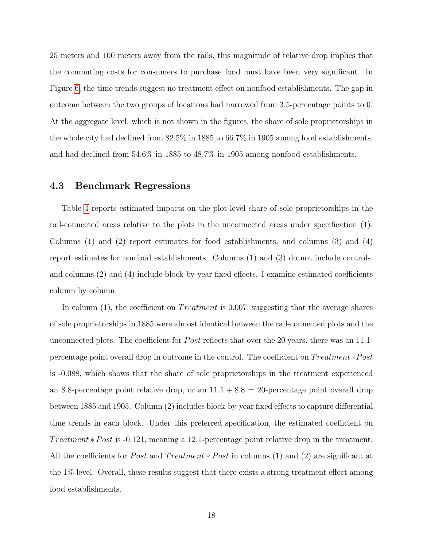25 meters and 100 meters away from the rails, this magnitude of relative drop implies that the commuting costs for consumers to purchase food must have been very significant. In Figure [6,](#page-38-0) the time trends suggest no treatment effect on nonfood establishments. The gap in outcome between the two groups of locations had narrowed from 3.5-percentage points to 0. At the aggregate level, which is not shown in the figures, the share of sole proprietorships in the whole city had declined from 82.5% in 1885 to 66.7% in 1905 among food establishments, and had declined from 54.6% in 1885 to 48.7% in 1905 among nonfood establishments.

#### 4.3 Benchmark Regressions

Table [4](#page-46-0) reports estimated impacts on the plot-level share of sole proprietorships in the rail-connected areas relative to the plots in the unconnected areas under specification (1). Columns (1) and (2) report estimates for food establishments, and columns (3) and (4) report estimates for nonfood establishments. Columns (1) and (3) do not include controls, and columns (2) and (4) include block-by-year fixed effects. I examine estimated coefficients column by column.

In column  $(1)$ , the coefficient on *Treatment* is 0.007, suggesting that the average shares of sole proprietorships in 1885 were almost identical between the rail-connected plots and the unconnected plots. The coefficient for *Post* reflects that over the 20 years, there was an 11.1percentage point overall drop in outcome in the control. The coefficient on  $Treatment * Post$ is -0.088, which shows that the share of sole proprietorships in the treatment experienced an 8.8-percentage point relative drop, or an  $11.1 + 8.8 = 20$ -percentage point overall drop between 1885 and 1905. Column (2) includes block-by-year fixed effects to capture differential time trends in each block. Under this preferred specification, the estimated coefficient on Treatment  $* Post$  is -0.121, meaning a 12.1-percentage point relative drop in the treatment. All the coefficients for *Post* and  $Treatment * Post$  in columns (1) and (2) are significant at the 1% level. Overall, these results suggest that there exists a strong treatment effect among food establishments.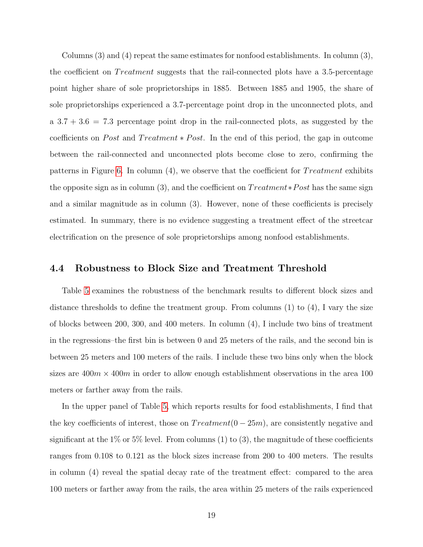Columns (3) and (4) repeat the same estimates for nonfood establishments. In column (3), the coefficient on *Treatment* suggests that the rail-connected plots have a 3.5-percentage point higher share of sole proprietorships in 1885. Between 1885 and 1905, the share of sole proprietorships experienced a 3.7-percentage point drop in the unconnected plots, and a  $3.7 + 3.6 = 7.3$  percentage point drop in the rail-connected plots, as suggested by the coefficients on *Post* and  $Treatment * Post$ . In the end of this period, the gap in outcome between the rail-connected and unconnected plots become close to zero, confirming the patterns in Figure [6.](#page-38-0) In column  $(4)$ , we observe that the coefficient for Treatment exhibits the opposite sign as in column (3), and the coefficient on  $Treatment*Post$  has the same sign and a similar magnitude as in column (3). However, none of these coefficients is precisely estimated. In summary, there is no evidence suggesting a treatment effect of the streetcar electrification on the presence of sole proprietorships among nonfood establishments.

#### 4.4 Robustness to Block Size and Treatment Threshold

Table [5](#page-47-0) examines the robustness of the benchmark results to different block sizes and distance thresholds to define the treatment group. From columns  $(1)$  to  $(4)$ , I vary the size of blocks between 200, 300, and 400 meters. In column (4), I include two bins of treatment in the regressions–the first bin is between 0 and 25 meters of the rails, and the second bin is between 25 meters and 100 meters of the rails. I include these two bins only when the block sizes are  $400m \times 400m$  in order to allow enough establishment observations in the area 100 meters or farther away from the rails.

In the upper panel of Table [5,](#page-47-0) which reports results for food establishments, I find that the key coefficients of interest, those on  $Treatment(0-25m)$ , are consistently negative and significant at the  $1\%$  or  $5\%$  level. From columns (1) to (3), the magnitude of these coefficients ranges from 0.108 to 0.121 as the block sizes increase from 200 to 400 meters. The results in column (4) reveal the spatial decay rate of the treatment effect: compared to the area 100 meters or farther away from the rails, the area within 25 meters of the rails experienced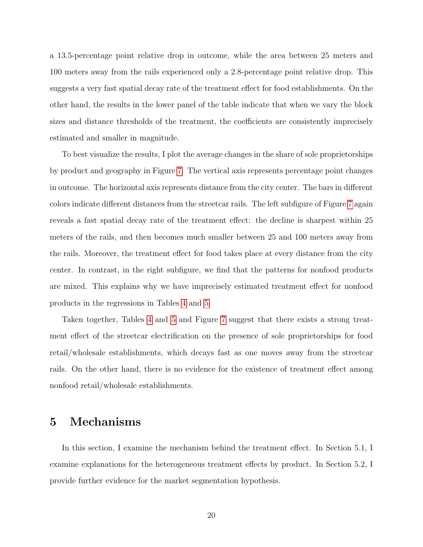a 13.5-percentage point relative drop in outcome, while the area between 25 meters and 100 meters away from the rails experienced only a 2.8-percentage point relative drop. This suggests a very fast spatial decay rate of the treatment effect for food establishments. On the other hand, the results in the lower panel of the table indicate that when we vary the block sizes and distance thresholds of the treatment, the coefficients are consistently imprecisely estimated and smaller in magnitude.

To best visualize the results, I plot the average changes in the share of sole proprietorships by product and geography in Figure [7.](#page-39-0) The vertical axis represents percentage point changes in outcome. The horizontal axis represents distance from the city center. The bars in different colors indicate different distances from the streetcar rails. The left subfigure of Figure [7](#page-39-0) again reveals a fast spatial decay rate of the treatment effect: the decline is sharpest within 25 meters of the rails, and then becomes much smaller between 25 and 100 meters away from the rails. Moreover, the treatment effect for food takes place at every distance from the city center. In contrast, in the right subfigure, we find that the patterns for nonfood products are mixed. This explains why we have imprecisely estimated treatment effect for nonfood products in the regressions in Tables [4](#page-46-0) and [5.](#page-47-0)

Taken together, Tables [4](#page-46-0) and [5](#page-47-0) and Figure [7](#page-39-0) suggest that there exists a strong treatment effect of the streetcar electrification on the presence of sole proprietorships for food retail/wholesale establishments, which decays fast as one moves away from the streetcar rails. On the other hand, there is no evidence for the existence of treatment effect among nonfood retail/wholesale establishments.

## 5 Mechanisms

In this section, I examine the mechanism behind the treatment effect. In Section 5.1, I examine explanations for the heterogeneous treatment effects by product. In Section 5.2, I provide further evidence for the market segmentation hypothesis.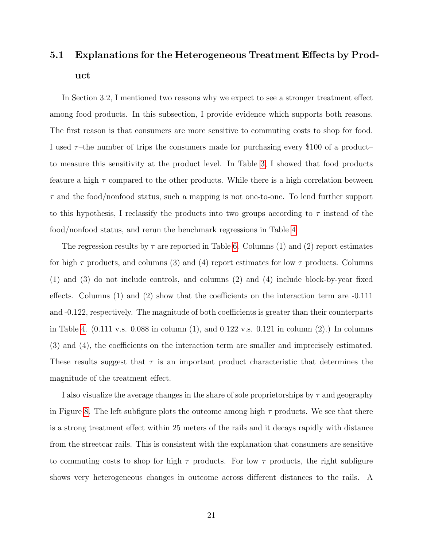# 5.1 Explanations for the Heterogeneous Treatment Effects by Product

In Section 3.2, I mentioned two reasons why we expect to see a stronger treatment effect among food products. In this subsection, I provide evidence which supports both reasons. The first reason is that consumers are more sensitive to commuting costs to shop for food. I used  $\tau$ -the number of trips the consumers made for purchasing every \$100 of a product– to measure this sensitivity at the product level. In Table [3,](#page-45-0) I showed that food products feature a high  $\tau$  compared to the other products. While there is a high correlation between  $\tau$  and the food/nonfood status, such a mapping is not one-to-one. To lend further support to this hypothesis, I reclassify the products into two groups according to  $\tau$  instead of the food/nonfood status, and rerun the benchmark regressions in Table [4.](#page-46-0)

The regression results by  $\tau$  are reported in Table [6.](#page-48-0) Columns (1) and (2) report estimates for high  $\tau$  products, and columns (3) and (4) report estimates for low  $\tau$  products. Columns (1) and (3) do not include controls, and columns (2) and (4) include block-by-year fixed effects. Columns (1) and (2) show that the coefficients on the interaction term are -0.111 and -0.122, respectively. The magnitude of both coefficients is greater than their counterparts in Table [4.](#page-46-0)  $(0.111 \text{ v.s. } 0.088 \text{ in column } (1), \text{ and } 0.122 \text{ v.s. } 0.121 \text{ in column } (2).)$  In columns (3) and (4), the coefficients on the interaction term are smaller and imprecisely estimated. These results suggest that  $\tau$  is an important product characteristic that determines the magnitude of the treatment effect.

I also visualize the average changes in the share of sole proprietorships by  $\tau$  and geography in Figure [8.](#page-40-0) The left subfigure plots the outcome among high  $\tau$  products. We see that there is a strong treatment effect within 25 meters of the rails and it decays rapidly with distance from the streetcar rails. This is consistent with the explanation that consumers are sensitive to commuting costs to shop for high  $\tau$  products. For low  $\tau$  products, the right subfigure shows very heterogeneous changes in outcome across different distances to the rails. A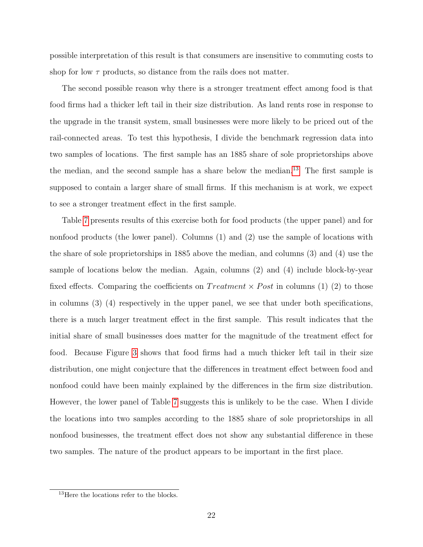possible interpretation of this result is that consumers are insensitive to commuting costs to shop for low  $\tau$  products, so distance from the rails does not matter.

The second possible reason why there is a stronger treatment effect among food is that food firms had a thicker left tail in their size distribution. As land rents rose in response to the upgrade in the transit system, small businesses were more likely to be priced out of the rail-connected areas. To test this hypothesis, I divide the benchmark regression data into two samples of locations. The first sample has an 1885 share of sole proprietorships above the median, and the second sample has a share below the median.[13](#page-0-0) The first sample is supposed to contain a larger share of small firms. If this mechanism is at work, we expect to see a stronger treatment effect in the first sample.

Table [7](#page-49-0) presents results of this exercise both for food products (the upper panel) and for nonfood products (the lower panel). Columns (1) and (2) use the sample of locations with the share of sole proprietorships in 1885 above the median, and columns (3) and (4) use the sample of locations below the median. Again, columns  $(2)$  and  $(4)$  include block-by-year fixed effects. Comparing the coefficients on  $Treatment \times Post$  in columns (1) (2) to those in columns (3) (4) respectively in the upper panel, we see that under both specifications, there is a much larger treatment effect in the first sample. This result indicates that the initial share of small businesses does matter for the magnitude of the treatment effect for food. Because Figure [3](#page-35-0) shows that food firms had a much thicker left tail in their size distribution, one might conjecture that the differences in treatment effect between food and nonfood could have been mainly explained by the differences in the firm size distribution. However, the lower panel of Table [7](#page-49-0) suggests this is unlikely to be the case. When I divide the locations into two samples according to the 1885 share of sole proprietorships in all nonfood businesses, the treatment effect does not show any substantial difference in these two samples. The nature of the product appears to be important in the first place.

<sup>&</sup>lt;sup>13</sup>Here the locations refer to the blocks.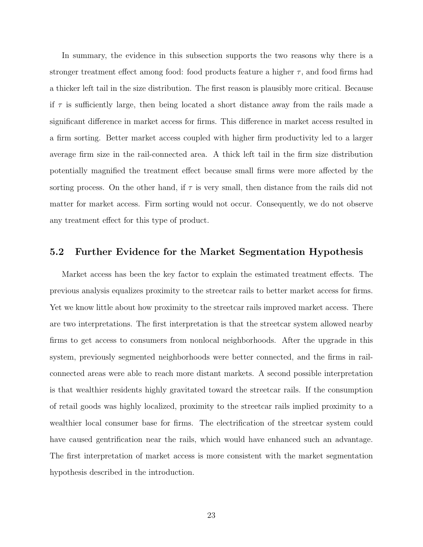In summary, the evidence in this subsection supports the two reasons why there is a stronger treatment effect among food: food products feature a higher  $\tau$ , and food firms had a thicker left tail in the size distribution. The first reason is plausibly more critical. Because if  $\tau$  is sufficiently large, then being located a short distance away from the rails made a significant difference in market access for firms. This difference in market access resulted in a firm sorting. Better market access coupled with higher firm productivity led to a larger average firm size in the rail-connected area. A thick left tail in the firm size distribution potentially magnified the treatment effect because small firms were more affected by the sorting process. On the other hand, if  $\tau$  is very small, then distance from the rails did not matter for market access. Firm sorting would not occur. Consequently, we do not observe any treatment effect for this type of product.

#### 5.2 Further Evidence for the Market Segmentation Hypothesis

Market access has been the key factor to explain the estimated treatment effects. The previous analysis equalizes proximity to the streetcar rails to better market access for firms. Yet we know little about how proximity to the streetcar rails improved market access. There are two interpretations. The first interpretation is that the streetcar system allowed nearby firms to get access to consumers from nonlocal neighborhoods. After the upgrade in this system, previously segmented neighborhoods were better connected, and the firms in railconnected areas were able to reach more distant markets. A second possible interpretation is that wealthier residents highly gravitated toward the streetcar rails. If the consumption of retail goods was highly localized, proximity to the streetcar rails implied proximity to a wealthier local consumer base for firms. The electrification of the streetcar system could have caused gentrification near the rails, which would have enhanced such an advantage. The first interpretation of market access is more consistent with the market segmentation hypothesis described in the introduction.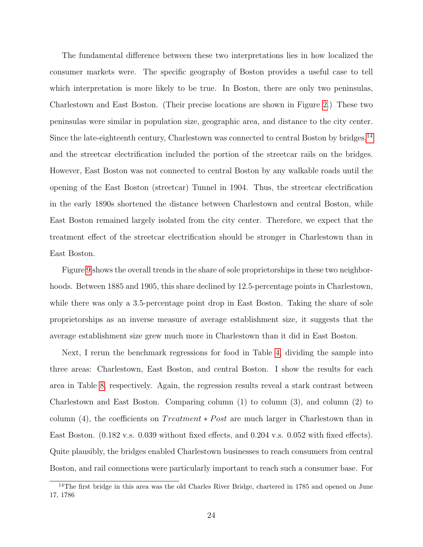The fundamental difference between these two interpretations lies in how localized the consumer markets were. The specific geography of Boston provides a useful case to tell which interpretation is more likely to be true. In Boston, there are only two peninsulas, Charlestown and East Boston. (Their precise locations are shown in Figure [2.](#page-34-0)) These two peninsulas were similar in population size, geographic area, and distance to the city center. Since the late-eighteenth century, Charlestown was connected to central Boston by bridges,  $14$ and the streetcar electrification included the portion of the streetcar rails on the bridges. However, East Boston was not connected to central Boston by any walkable roads until the opening of the East Boston (streetcar) Tunnel in 1904. Thus, the streetcar electrification in the early 1890s shortened the distance between Charlestown and central Boston, while East Boston remained largely isolated from the city center. Therefore, we expect that the treatment effect of the streetcar electrification should be stronger in Charlestown than in East Boston.

Figure [9](#page-41-0) shows the overall trends in the share of sole proprietorships in these two neighborhoods. Between 1885 and 1905, this share declined by 12.5-percentage points in Charlestown, while there was only a 3.5-percentage point drop in East Boston. Taking the share of sole proprietorships as an inverse measure of average establishment size, it suggests that the average establishment size grew much more in Charlestown than it did in East Boston.

Next, I rerun the benchmark regressions for food in Table [4,](#page-46-0) dividing the sample into three areas: Charlestown, East Boston, and central Boston. I show the results for each area in Table [8,](#page-50-0) respectively. Again, the regression results reveal a stark contrast between Charlestown and East Boston. Comparing column (1) to column (3), and column (2) to column (4), the coefficients on  $Treatment * Post$  are much larger in Charlestown than in East Boston. (0.182 v.s. 0.039 without fixed effects, and 0.204 v.s. 0.052 with fixed effects). Quite plausibly, the bridges enabled Charlestown businesses to reach consumers from central Boston, and rail connections were particularly important to reach such a consumer base. For

<sup>&</sup>lt;sup>14</sup>The first bridge in this area was the old Charles River Bridge, chartered in 1785 and opened on June 17, 1786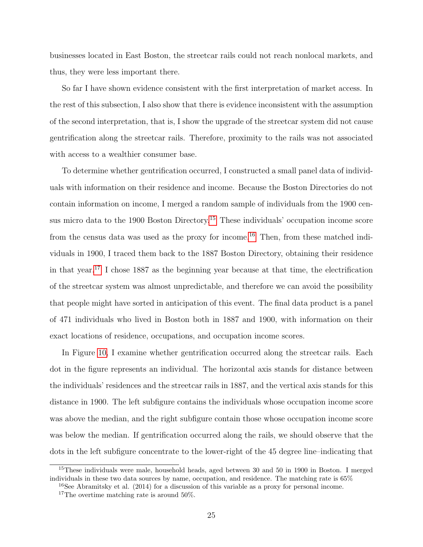businesses located in East Boston, the streetcar rails could not reach nonlocal markets, and thus, they were less important there.

So far I have shown evidence consistent with the first interpretation of market access. In the rest of this subsection, I also show that there is evidence inconsistent with the assumption of the second interpretation, that is, I show the upgrade of the streetcar system did not cause gentrification along the streetcar rails. Therefore, proximity to the rails was not associated with access to a wealthier consumer base.

To determine whether gentrification occurred, I constructed a small panel data of individuals with information on their residence and income. Because the Boston Directories do not contain information on income, I merged a random sample of individuals from the 1900 census micro data to the 1900 Boston Directory.[15](#page-0-0) These individuals' occupation income score from the census data was used as the proxy for income.[16](#page-0-0) Then, from these matched individuals in 1900, I traced them back to the 1887 Boston Directory, obtaining their residence in that year.<sup>[17](#page-0-0)</sup> I chose 1887 as the beginning year because at that time, the electrification of the streetcar system was almost unpredictable, and therefore we can avoid the possibility that people might have sorted in anticipation of this event. The final data product is a panel of 471 individuals who lived in Boston both in 1887 and 1900, with information on their exact locations of residence, occupations, and occupation income scores.

In Figure [10,](#page-42-0) I examine whether gentrification occurred along the streetcar rails. Each dot in the figure represents an individual. The horizontal axis stands for distance between the individuals' residences and the streetcar rails in 1887, and the vertical axis stands for this distance in 1900. The left subfigure contains the individuals whose occupation income score was above the median, and the right subfigure contain those whose occupation income score was below the median. If gentrification occurred along the rails, we should observe that the dots in the left subfigure concentrate to the lower-right of the 45 degree line–indicating that

<sup>&</sup>lt;sup>15</sup>These individuals were male, household heads, aged between 30 and 50 in 1900 in Boston. I merged individuals in these two data sources by name, occupation, and residence. The matching rate is 65%

 $^{16}$ See Abramitsky et al. (2014) for a discussion of this variable as a proxy for personal income.

<sup>&</sup>lt;sup>17</sup>The overtime matching rate is around  $50\%$ .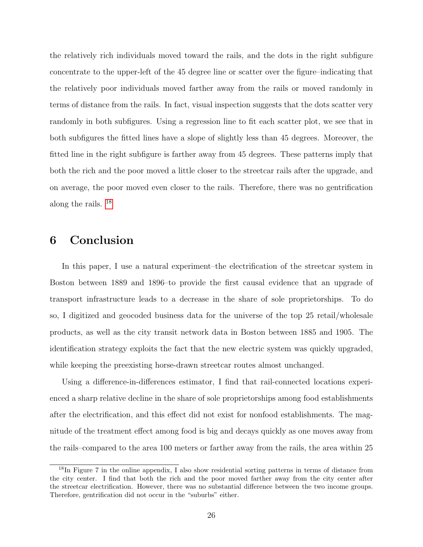the relatively rich individuals moved toward the rails, and the dots in the right subfigure concentrate to the upper-left of the 45 degree line or scatter over the figure–indicating that the relatively poor individuals moved farther away from the rails or moved randomly in terms of distance from the rails. In fact, visual inspection suggests that the dots scatter very randomly in both subfigures. Using a regression line to fit each scatter plot, we see that in both subfigures the fitted lines have a slope of slightly less than 45 degrees. Moreover, the fitted line in the right subfigure is farther away from 45 degrees. These patterns imply that both the rich and the poor moved a little closer to the streetcar rails after the upgrade, and on average, the poor moved even closer to the rails. Therefore, there was no gentrification along the rails. [18](#page-0-0)

# 6 Conclusion

In this paper, I use a natural experiment–the electrification of the streetcar system in Boston between 1889 and 1896–to provide the first causal evidence that an upgrade of transport infrastructure leads to a decrease in the share of sole proprietorships. To do so, I digitized and geocoded business data for the universe of the top 25 retail/wholesale products, as well as the city transit network data in Boston between 1885 and 1905. The identification strategy exploits the fact that the new electric system was quickly upgraded, while keeping the preexisting horse-drawn streetcar routes almost unchanged.

Using a difference-in-differences estimator, I find that rail-connected locations experienced a sharp relative decline in the share of sole proprietorships among food establishments after the electrification, and this effect did not exist for nonfood establishments. The magnitude of the treatment effect among food is big and decays quickly as one moves away from the rails–compared to the area 100 meters or farther away from the rails, the area within 25

<sup>&</sup>lt;sup>18</sup>In Figure 7 in the online appendix, I also show residential sorting patterns in terms of distance from the city center. I find that both the rich and the poor moved farther away from the city center after the streetcar electrification. However, there was no substantial difference between the two income groups. Therefore, gentrification did not occur in the "suburbs" either.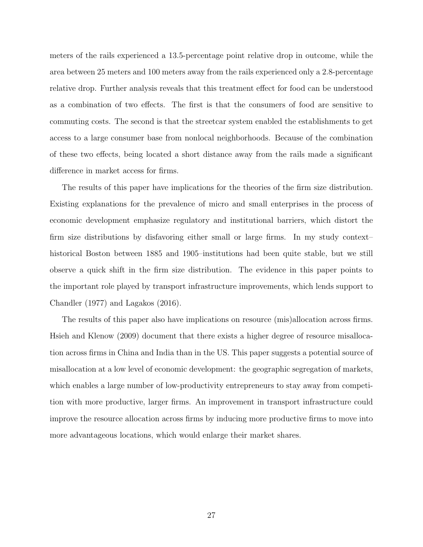meters of the rails experienced a 13.5-percentage point relative drop in outcome, while the area between 25 meters and 100 meters away from the rails experienced only a 2.8-percentage relative drop. Further analysis reveals that this treatment effect for food can be understood as a combination of two effects. The first is that the consumers of food are sensitive to commuting costs. The second is that the streetcar system enabled the establishments to get access to a large consumer base from nonlocal neighborhoods. Because of the combination of these two effects, being located a short distance away from the rails made a significant difference in market access for firms.

The results of this paper have implications for the theories of the firm size distribution. Existing explanations for the prevalence of micro and small enterprises in the process of economic development emphasize regulatory and institutional barriers, which distort the firm size distributions by disfavoring either small or large firms. In my study context– historical Boston between 1885 and 1905–institutions had been quite stable, but we still observe a quick shift in the firm size distribution. The evidence in this paper points to the important role played by transport infrastructure improvements, which lends support to Chandler (1977) and Lagakos (2016).

The results of this paper also have implications on resource (mis)allocation across firms. Hsieh and Klenow (2009) document that there exists a higher degree of resource misallocation across firms in China and India than in the US. This paper suggests a potential source of misallocation at a low level of economic development: the geographic segregation of markets, which enables a large number of low-productivity entrepreneurs to stay away from competition with more productive, larger firms. An improvement in transport infrastructure could improve the resource allocation across firms by inducing more productive firms to move into more advantageous locations, which would enlarge their market shares.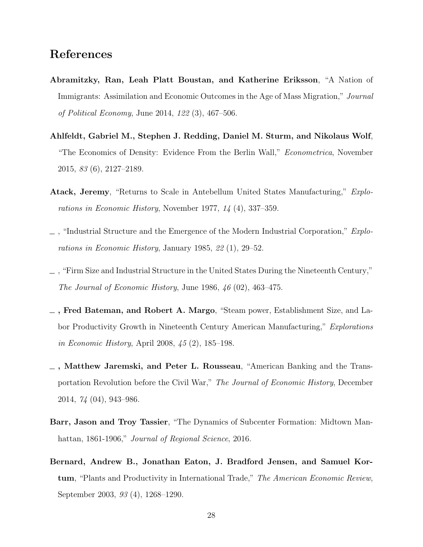# References

- Abramitzky, Ran, Leah Platt Boustan, and Katherine Eriksson, "A Nation of Immigrants: Assimilation and Economic Outcomes in the Age of Mass Migration," Journal of Political Economy, June 2014, 122 (3), 467–506.
- Ahlfeldt, Gabriel M., Stephen J. Redding, Daniel M. Sturm, and Nikolaus Wolf, "The Economics of Density: Evidence From the Berlin Wall," *Econometrica*, November 2015, 83 (6), 2127–2189.
- Atack, Jeremy, "Returns to Scale in Antebellum United States Manufacturing," Explorations in Economic History, November 1977, 14 (4), 337–359.
- $\Box$ , "Industrial Structure and the Emergence of the Modern Industrial Corporation," *Explo*rations in Economic History, January 1985, 22 (1), 29–52.
- , "Firm Size and Industrial Structure in the United States During the Nineteenth Century," The Journal of Economic History, June 1986, 46 (02), 463–475.
- , Fred Bateman, and Robert A. Margo, "Steam power, Establishment Size, and Labor Productivity Growth in Nineteenth Century American Manufacturing," Explorations in Economic History, April 2008, 45 (2), 185–198.
- , Matthew Jaremski, and Peter L. Rousseau, "American Banking and the Transportation Revolution before the Civil War," The Journal of Economic History, December 2014, 74 (04), 943–986.
- Barr, Jason and Troy Tassier, "The Dynamics of Subcenter Formation: Midtown Manhattan, 1861-1906," *Journal of Regional Science*, 2016.
- Bernard, Andrew B., Jonathan Eaton, J. Bradford Jensen, and Samuel Kortum, "Plants and Productivity in International Trade," The American Economic Review, September 2003, 93 (4), 1268–1290.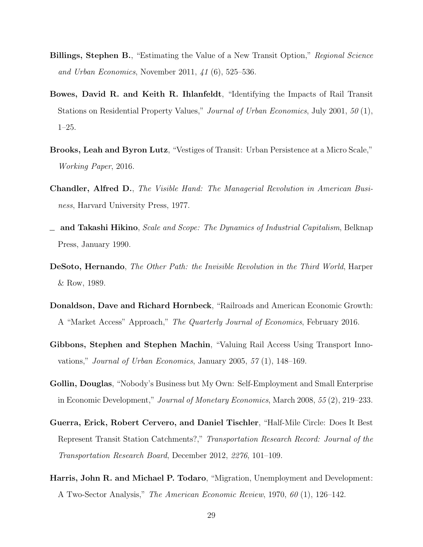- **Billings, Stephen B.**, "Estimating the Value of a New Transit Option," Regional Science and Urban Economics, November 2011, 41 (6), 525–536.
- Bowes, David R. and Keith R. Ihlanfeldt, "Identifying the Impacts of Rail Transit Stations on Residential Property Values," Journal of Urban Economics, July 2001, 50 (1), 1–25.
- Brooks, Leah and Byron Lutz, "Vestiges of Transit: Urban Persistence at a Micro Scale," Working Paper, 2016.
- Chandler, Alfred D., The Visible Hand: The Managerial Revolution in American Business, Harvard University Press, 1977.
- $\Box$  and Takashi Hikino, *Scale and Scope: The Dynamics of Industrial Capitalism*, Belknap Press, January 1990.
- DeSoto, Hernando, The Other Path: the Invisible Revolution in the Third World, Harper & Row, 1989.
- Donaldson, Dave and Richard Hornbeck, "Railroads and American Economic Growth: A "Market Access" Approach," The Quarterly Journal of Economics, February 2016.
- Gibbons, Stephen and Stephen Machin, "Valuing Rail Access Using Transport Innovations," Journal of Urban Economics, January 2005, 57 (1), 148–169.
- Gollin, Douglas, "Nobody's Business but My Own: Self-Employment and Small Enterprise in Economic Development," Journal of Monetary Economics, March 2008, 55 (2), 219–233.
- Guerra, Erick, Robert Cervero, and Daniel Tischler, "Half-Mile Circle: Does It Best Represent Transit Station Catchments?," Transportation Research Record: Journal of the Transportation Research Board, December 2012, 2276, 101–109.
- Harris, John R. and Michael P. Todaro, "Migration, Unemployment and Development: A Two-Sector Analysis," The American Economic Review, 1970, 60 (1), 126–142.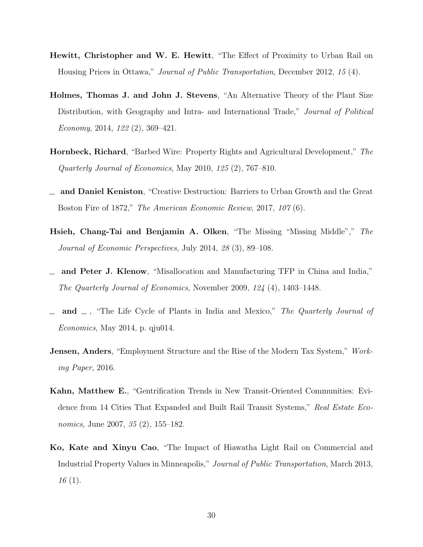- Hewitt, Christopher and W. E. Hewitt, "The Effect of Proximity to Urban Rail on Housing Prices in Ottawa," Journal of Public Transportation, December 2012, 15 (4).
- Holmes, Thomas J. and John J. Stevens, "An Alternative Theory of the Plant Size Distribution, with Geography and Intra- and International Trade," Journal of Political Economy, 2014, 122 (2), 369–421.
- Hornbeck, Richard, "Barbed Wire: Property Rights and Agricultural Development," The Quarterly Journal of Economics, May 2010, 125 (2), 767–810.
- and Daniel Keniston, "Creative Destruction: Barriers to Urban Growth and the Great Boston Fire of 1872," The American Economic Review, 2017, 107 (6).
- Hsieh, Chang-Tai and Benjamin A. Olken, "The Missing "Missing Middle"," The Journal of Economic Perspectives, July 2014, 28 (3), 89–108.
- and Peter J. Klenow, "Misallocation and Manufacturing TFP in China and India," The Quarterly Journal of Economics, November 2009, 124 (4), 1403–1448.
- and  $\Box$ , "The Life Cycle of Plants in India and Mexico," The Quarterly Journal of Economics, May 2014, p. qju014.
- **Jensen, Anders**, "Employment Structure and the Rise of the Modern Tax System," Working Paper, 2016.
- Kahn, Matthew E., "Gentrification Trends in New Transit-Oriented Communities: Evidence from 14 Cities That Expanded and Built Rail Transit Systems," Real Estate Economics, June 2007, 35 (2), 155–182.
- Ko, Kate and Xinyu Cao, "The Impact of Hiawatha Light Rail on Commercial and Industrial Property Values in Minneapolis," Journal of Public Transportation, March 2013, 16 (1).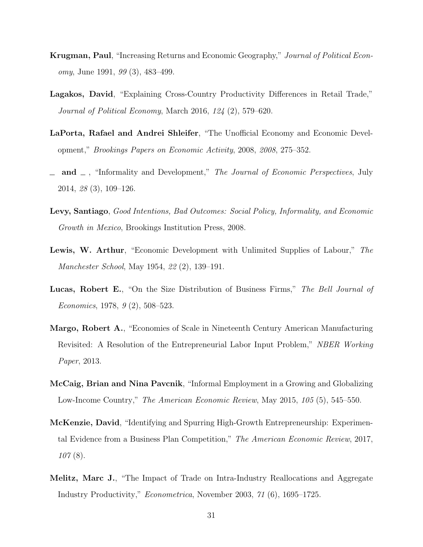- Krugman, Paul, "Increasing Returns and Economic Geography," Journal of Political Economy, June 1991, 99 (3), 483–499.
- Lagakos, David, "Explaining Cross-Country Productivity Differences in Retail Trade," Journal of Political Economy, March 2016, 124 (2), 579–620.
- LaPorta, Rafael and Andrei Shleifer, "The Unofficial Economy and Economic Development," Brookings Papers on Economic Activity, 2008, 2008, 275–352.
- and  $\Box$ , "Informality and Development," The Journal of Economic Perspectives, July 2014, 28 (3), 109–126.
- Levy, Santiago, Good Intentions, Bad Outcomes: Social Policy, Informality, and Economic Growth in Mexico, Brookings Institution Press, 2008.
- Lewis, W. Arthur, "Economic Development with Unlimited Supplies of Labour," The Manchester School, May 1954, 22 (2), 139–191.
- Lucas, Robert E., "On the Size Distribution of Business Firms," The Bell Journal of Economics, 1978, 9 (2), 508–523.
- Margo, Robert A., "Economies of Scale in Nineteenth Century American Manufacturing Revisited: A Resolution of the Entrepreneurial Labor Input Problem," NBER Working Paper, 2013.
- McCaig, Brian and Nina Pavcnik, "Informal Employment in a Growing and Globalizing Low-Income Country," The American Economic Review, May 2015, 105 (5), 545–550.
- McKenzie, David, "Identifying and Spurring High-Growth Entrepreneurship: Experimental Evidence from a Business Plan Competition," The American Economic Review, 2017, 107 (8).
- Melitz, Marc J., "The Impact of Trade on Intra-Industry Reallocations and Aggregate Industry Productivity," Econometrica, November 2003, 71 (6), 1695–1725.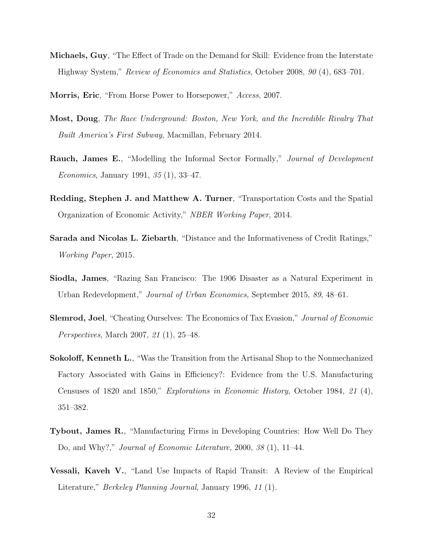- Michaels, Guy, "The Effect of Trade on the Demand for Skill: Evidence from the Interstate Highway System," Review of Economics and Statistics, October 2008, 90 (4), 683–701.
- Morris, Eric, "From Horse Power to Horsepower," Access, 2007.
- Most, Doug, The Race Underground: Boston, New York, and the Incredible Rivalry That Built America's First Subway, Macmillan, February 2014.
- Rauch, James E., "Modelling the Informal Sector Formally," Journal of Development Economics, January 1991, 35 (1), 33–47.
- Redding, Stephen J. and Matthew A. Turner, "Transportation Costs and the Spatial Organization of Economic Activity," NBER Working Paper, 2014.
- Sarada and Nicolas L. Ziebarth, "Distance and the Informativeness of Credit Ratings," Working Paper, 2015.
- Siodla, James, "Razing San Francisco: The 1906 Disaster as a Natural Experiment in Urban Redevelopment," Journal of Urban Economics, September 2015, 89, 48–61.
- Slemrod, Joel, "Cheating Ourselves: The Economics of Tax Evasion," Journal of Economic Perspectives, March 2007, 21 (1), 25–48.
- Sokoloff, Kenneth L., "Was the Transition from the Artisanal Shop to the Nonmechanized Factory Associated with Gains in Efficiency?: Evidence from the U.S. Manufacturing Censuses of 1820 and 1850," Explorations in Economic History, October 1984, 21 (4), 351–382.
- Tybout, James R., "Manufacturing Firms in Developing Countries: How Well Do They Do, and Why?," *Journal of Economic Literature*, 2000, 38 (1), 11–44.
- Vessali, Kaveh V., "Land Use Impacts of Rapid Transit: A Review of the Empirical Literature," *Berkeley Planning Journal*, January 1996, 11 (1).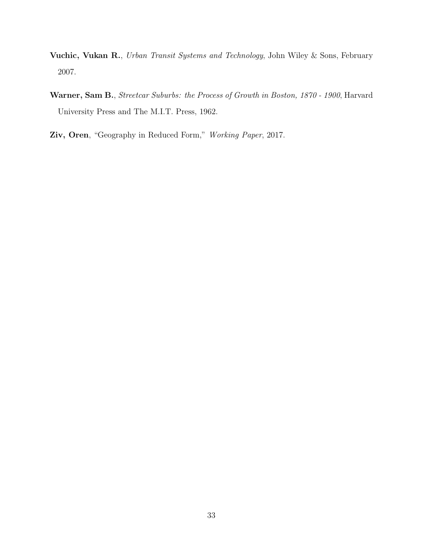- Vuchic, Vukan R., Urban Transit Systems and Technology, John Wiley & Sons, February 2007.
- Warner, Sam B., Streetcar Suburbs: the Process of Growth in Boston, 1870 1900, Harvard University Press and The M.I.T. Press, 1962.
- Ziv, Oren, "Geography in Reduced Form," Working Paper, 2017.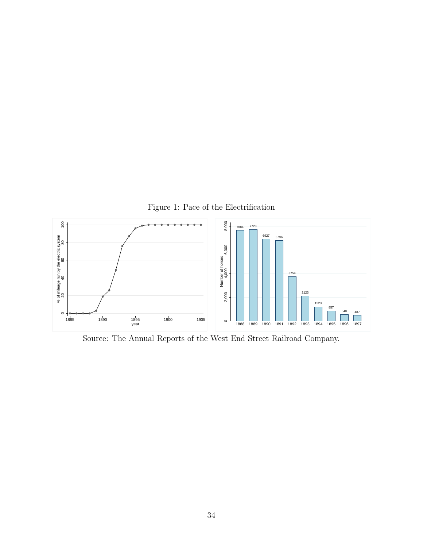<span id="page-33-0"></span>

Source: The Annual Reports of the West End Street Railroad Company.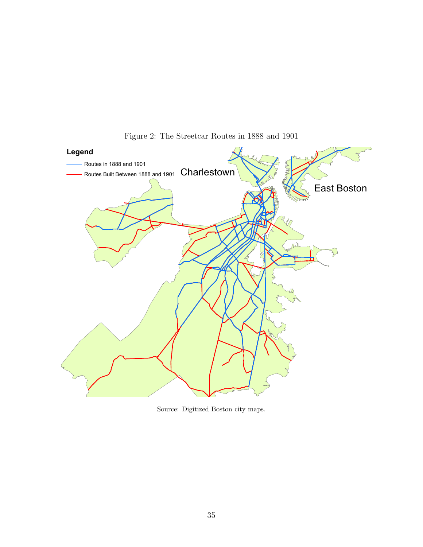

<span id="page-34-0"></span>Figure 2: The Streetcar Routes in 1888 and 1901

Source: Digitized Boston city maps.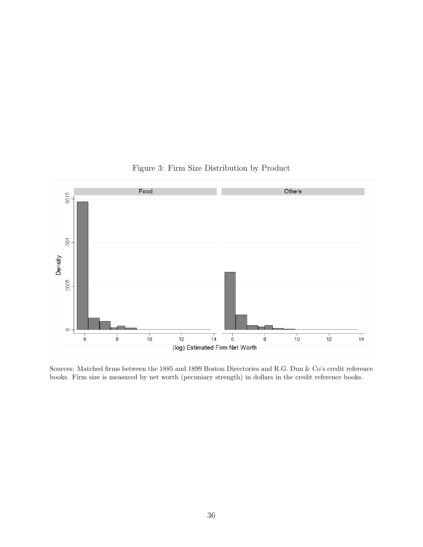

<span id="page-35-0"></span>Figure 3: Firm Size Distribution by Product

Sources: Matched firms between the 1885 and 1899 Boston Directories and R.G. Dun & Co's credit reference books. Firm size is measured by net worth (pecuniary strength) in dollars in the credit reference books.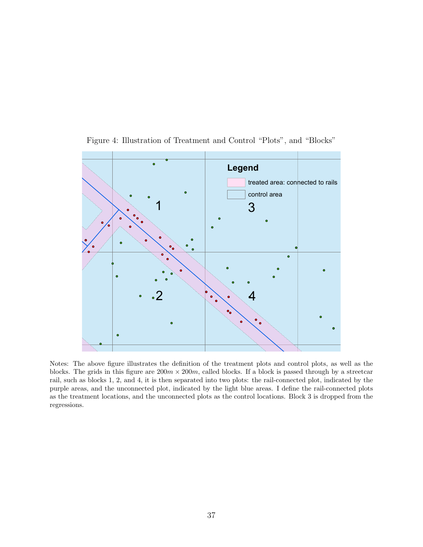

<span id="page-36-0"></span>Figure 4: Illustration of Treatment and Control "Plots", and "Blocks"

Notes: The above figure illustrates the definition of the treatment plots and control plots, as well as the blocks. The grids in this figure are  $200m \times 200m$ , called blocks. If a block is passed through by a streetcar rail, such as blocks 1, 2, and 4, it is then separated into two plots: the rail-connected plot, indicated by the purple areas, and the unconnected plot, indicated by the light blue areas. I define the rail-connected plots as the treatment locations, and the unconnected plots as the control locations. Block 3 is dropped from the regressions.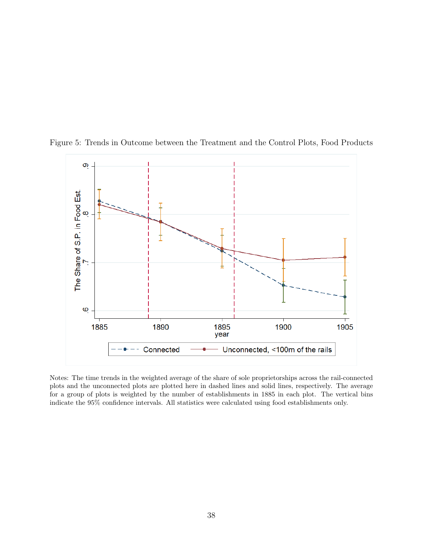<span id="page-37-0"></span>

Figure 5: Trends in Outcome between the Treatment and the Control Plots, Food Products

Notes: The time trends in the weighted average of the share of sole proprietorships across the rail-connected plots and the unconnected plots are plotted here in dashed lines and solid lines, respectively. The average for a group of plots is weighted by the number of establishments in 1885 in each plot. The vertical bins indicate the 95% confidence intervals. All statistics were calculated using food establishments only.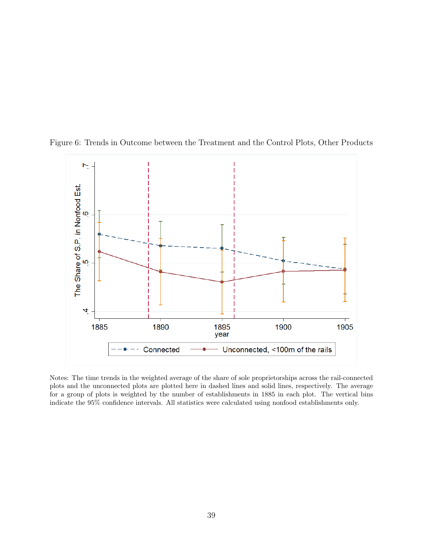<span id="page-38-0"></span>

Figure 6: Trends in Outcome between the Treatment and the Control Plots, Other Products

Notes: The time trends in the weighted average of the share of sole proprietorships across the rail-connected plots and the unconnected plots are plotted here in dashed lines and solid lines, respectively. The average for a group of plots is weighted by the number of establishments in 1885 in each plot. The vertical bins indicate the 95% confidence intervals. All statistics were calculated using nonfood establishments only.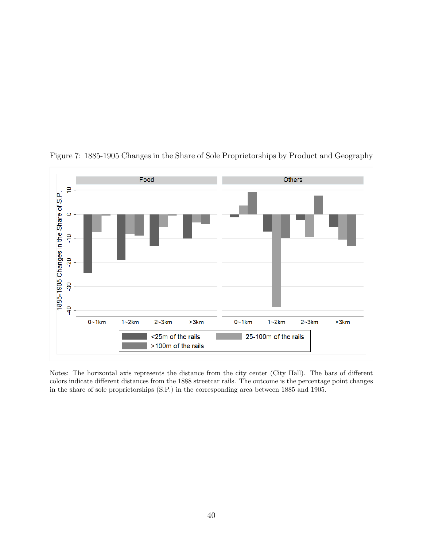

<span id="page-39-0"></span>Figure 7: 1885-1905 Changes in the Share of Sole Proprietorships by Product and Geography

Notes: The horizontal axis represents the distance from the city center (City Hall). The bars of different colors indicate different distances from the 1888 streetcar rails. The outcome is the percentage point changes in the share of sole proprietorships (S.P.) in the corresponding area between 1885 and 1905.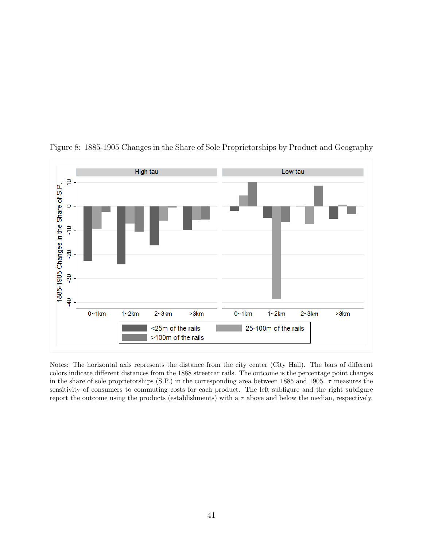

<span id="page-40-0"></span>Figure 8: 1885-1905 Changes in the Share of Sole Proprietorships by Product and Geography

Notes: The horizontal axis represents the distance from the city center (City Hall). The bars of different colors indicate different distances from the 1888 streetcar rails. The outcome is the percentage point changes in the share of sole proprietorships (S.P.) in the corresponding area between 1885 and 1905.  $\tau$  measures the sensitivity of consumers to commuting costs for each product. The left subfigure and the right subfigure report the outcome using the products (establishments) with a  $\tau$  above and below the median, respectively.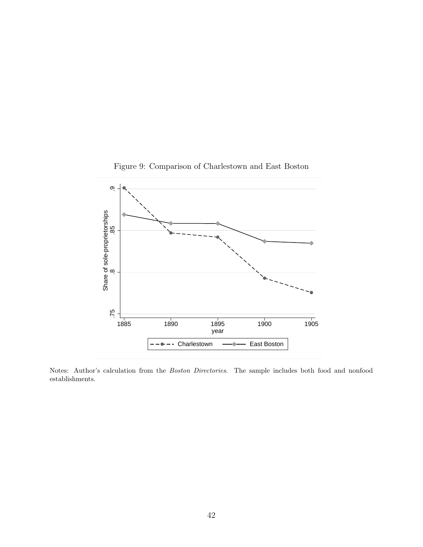

<span id="page-41-0"></span>Figure 9: Comparison of Charlestown and East Boston

Notes: Author's calculation from the Boston Directories. The sample includes both food and nonfood establishments.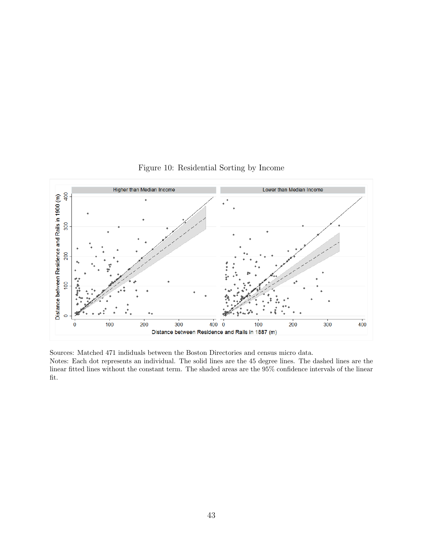

<span id="page-42-0"></span>Figure 10: Residential Sorting by Income

Sources: Matched 471 indiduals between the Boston Directories and census micro data. Notes: Each dot represents an individual. The solid lines are the 45 degree lines. The dashed lines are the linear fitted lines without the constant term. The shaded areas are the 95% confidence intervals of the linear fit.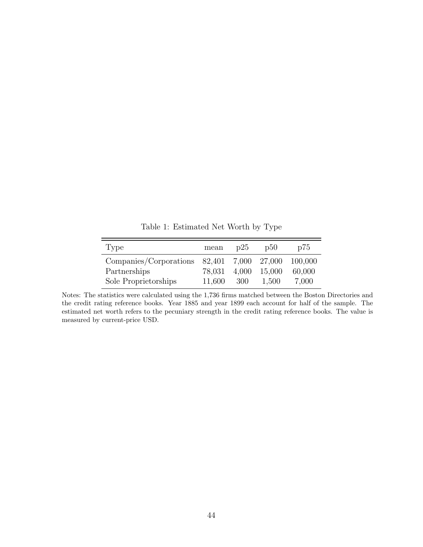| Type                   | mean                | p25   | D50    | D75     |
|------------------------|---------------------|-------|--------|---------|
| Companies/Corporations | 82,401 7,000 27,000 |       |        | 100,000 |
| Partnerships           | 78.031              | 4,000 | 15,000 | 60,000  |
| Sole Proprietorships   | 11,600              | 300   | 1.500  | 7,000   |

<span id="page-43-0"></span>Table 1: Estimated Net Worth by Type

Notes: The statistics were calculated using the 1,736 firms matched between the Boston Directories and the credit rating reference books. Year 1885 and year 1899 each account for half of the sample. The estimated net worth refers to the pecuniary strength in the credit rating reference books. The value is measured by current-price USD.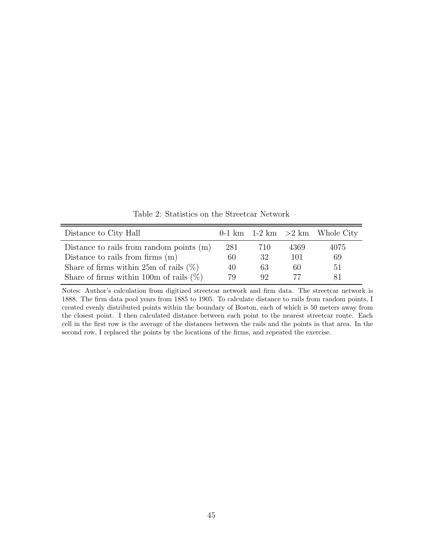Distance to City Hall  $0-1 \text{ km}$   $1-2 \text{ km}$   $>2 \text{ km}$  Whole City Distance to rails from random points  $(m)$  281  $710$  4369  $4075$ Distance to rails from firms  $(m)$  60  $32$  101 69 Share of firms within  $25m$  of rails  $(\%)$  40 63 60 51 Share of firms within 100m of rails  $(\%)$  79 92 77 81

<span id="page-44-0"></span>Table 2: Statistics on the Streetcar Network

Notes: Author's calculation from digitized streetcar network and firm data. The streetcar network is 1888. The firm data pool years from 1885 to 1905. To calculate distance to rails from random points, I created evenly distributed points within the boundary of Boston, each of which is 50 meters away from the closest point. I then calculated distance between each point to the nearest streetcar route. Each cell in the first row is the average of the distances between the rails and the points in that area. In the second row, I replaced the points by the locations of the firms, and repeated the exercise.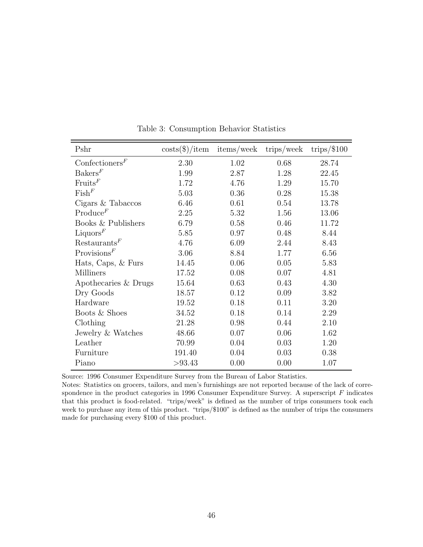| Pshr                     | $\cos\left(\frac{\theta}{\theta}\right)/\text{item}$ | items/week | trips/week | trips/ $$100$ |
|--------------------------|------------------------------------------------------|------------|------------|---------------|
| $\text{Confectioners}^F$ | 2.30                                                 | 1.02       | 0.68       | 28.74         |
| BakersF                  | 1.99                                                 | 2.87       | 1.28       | 22.45         |
| F                        | 1.72                                                 | 4.76       | 1.29       | 15.70         |
| FishF                    | 5.03                                                 | 0.36       | 0.28       | 15.38         |
| Cigars & Tabaccos        | 6.46                                                 | 0.61       | 0.54       | 13.78         |
| $\text{Produce}^F$       | 2.25                                                 | 5.32       | 1.56       | 13.06         |
| Books & Publishers       | 6.79                                                 | 0.58       | 0.46       | 11.72         |
| Liquors $F$              | 5.85                                                 | 0.97       | 0.48       | 8.44          |
| Restaurants <sup>F</sup> | 4.76                                                 | 6.09       | 2.44       | 8.43          |
| Provisions <sup>F</sup>  | 3.06                                                 | 8.84       | 1.77       | 6.56          |
| Hats, Caps, & Furs       | 14.45                                                | 0.06       | 0.05       | 5.83          |
| <b>Milliners</b>         | 17.52                                                | 0.08       | 0.07       | 4.81          |
| Apothecaries & Drugs     | 15.64                                                | 0.63       | 0.43       | 4.30          |
| Dry Goods                | 18.57                                                | 0.12       | 0.09       | 3.82          |
| Hardware                 | 19.52                                                | 0.18       | 0.11       | 3.20          |
| Boots & Shoes            | 34.52                                                | 0.18       | 0.14       | 2.29          |
| Clothing                 | 21.28                                                | 0.98       | 0.44       | 2.10          |
| Jewelry & Watches        | 48.66                                                | 0.07       | 0.06       | 1.62          |
| Leather                  | 70.99                                                | 0.04       | 0.03       | 1.20          |
| Furniture                | 191.40                                               | 0.04       | 0.03       | 0.38          |
| Piano                    | >93.43                                               | 0.00       | 0.00       | 1.07          |

<span id="page-45-0"></span>Table 3: Consumption Behavior Statistics

Source: 1996 Consumer Expenditure Survey from the Bureau of Labor Statistics.

Notes: Statistics on grocers, tailors, and men's furnishings are not reported because of the lack of correspondence in the product categories in 1996 Consumer Expenditure Survey. A superscript  $F$  indicates that this product is food-related. "trips/week" is defined as the number of trips consumers took each week to purchase any item of this product. "trips/\$100" is defined as the number of trips the consumers made for purchasing every \$100 of this product.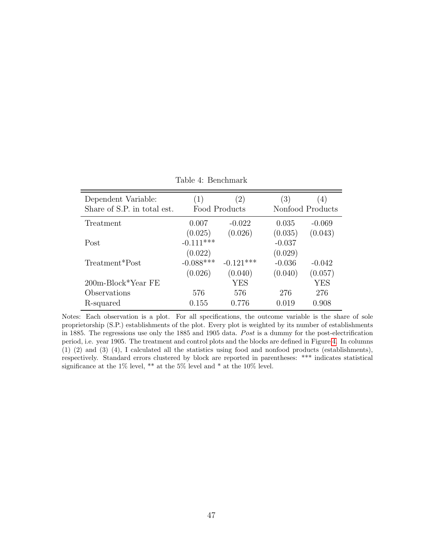| Dependent Variable:<br>Share of S.P. in total est. | $\left(2\right)$<br>$\left(1\right)$<br>Food Products |             | $\left(3\right)$ | 4)<br>Nonfood Products |  |
|----------------------------------------------------|-------------------------------------------------------|-------------|------------------|------------------------|--|
| Treatment                                          | 0.007                                                 | $-0.022$    | 0.035            | $-0.069$               |  |
|                                                    | (0.025)                                               | (0.026)     | (0.035)          | (0.043)                |  |
| Post                                               | $-0.111***$                                           |             | $-0.037$         |                        |  |
|                                                    | (0.022)                                               |             | (0.029)          |                        |  |
| Treatment*Post                                     | $-0.088***$                                           | $-0.121***$ | $-0.036$         | $-0.042$               |  |
|                                                    | (0.026)                                               | (0.040)     | (0.040)          | (0.057)                |  |
| $200m-Block*Year$ FE                               |                                                       | <b>YES</b>  |                  | YES                    |  |
| Observations                                       | 576                                                   | 576         | 276              | 276                    |  |
| R-squared                                          | 0.155                                                 | 0.776       | 0.019            | 0.908                  |  |

<span id="page-46-0"></span>Table 4: Benchmark

Notes: Each observation is a plot. For all specifications, the outcome variable is the share of sole proprietorship (S.P.) establishments of the plot. Every plot is weighted by its number of establishments in 1885. The regressions use only the 1885 and 1905 data. Post is a dummy for the post-electrification period, i.e. year 1905. The treatment and control plots and the blocks are defined in Figure [4.](#page-36-0) In columns (1) (2) and (3) (4), I calculated all the statistics using food and nonfood products (establishments), respectively. Standard errors clustered by block are reported in parentheses: \*\*\* indicates statistical significance at the 1% level, \*\* at the 5% level and \* at the 10% level.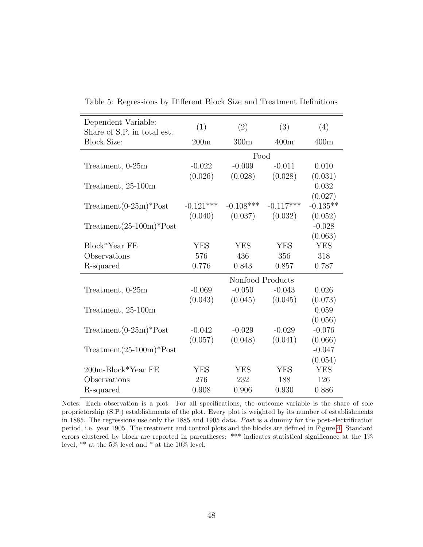| Dependent Variable:<br>Share of S.P. in total est. | (1)         | (2)              | (3)         | (4)        |
|----------------------------------------------------|-------------|------------------|-------------|------------|
| <b>Block Size:</b>                                 | 200m        | 300m             | 400m        | 400m       |
|                                                    |             |                  |             |            |
| Treatment, 0-25m                                   | $-0.022$    | $-0.009$         | $-0.011$    | 0.010      |
|                                                    | (0.026)     | (0.028)          | (0.028)     | (0.031)    |
| Treatment, 25-100m                                 |             |                  |             | 0.032      |
|                                                    |             |                  |             | (0.027)    |
| $Treatment(0-25m)*Post$                            | $-0.121***$ | $-0.108***$      | $-0.117***$ | $-0.135**$ |
|                                                    | (0.040)     | (0.037)          | (0.032)     | (0.052)    |
| $Treatment(25-100m)*Post$                          |             |                  |             | $-0.028$   |
|                                                    |             |                  |             | (0.063)    |
| Block*Year FE                                      | <b>YES</b>  | <b>YES</b>       | <b>YES</b>  | <b>YES</b> |
| Observations                                       | 576         | 436              | 356         | 318        |
| R-squared                                          | 0.776       | 0.843            | 0.857       | 0.787      |
|                                                    |             | Nonfood Products |             |            |
| Treatment, 0-25m                                   | $-0.069$    | $-0.050$         | $-0.043$    | 0.026      |
|                                                    | (0.043)     | (0.045)          | (0.045)     | (0.073)    |
| Treatment, 25-100m                                 |             |                  |             | 0.059      |
|                                                    |             |                  |             | (0.056)    |
| $Treatment(0-25m)*Post$                            | $-0.042$    | $-0.029$         | $-0.029$    | $-0.076$   |
|                                                    | (0.057)     | (0.048)          | (0.041)     | (0.066)    |
| $Treatment(25-100m)*Post$                          |             |                  |             | $-0.047$   |
|                                                    |             |                  |             | (0.054)    |
| 200m-Block*Year FE                                 | <b>YES</b>  | <b>YES</b>       | <b>YES</b>  | <b>YES</b> |
| Observations                                       | 276         | 232              | 188         | 126        |
| R-squared                                          | 0.908       | 0.906            | 0.930       | 0.886      |

<span id="page-47-0"></span>Table 5: Regressions by Different Block Size and Treatment Definitions

Notes: Each observation is a plot. For all specifications, the outcome variable is the share of sole proprietorship (S.P.) establishments of the plot. Every plot is weighted by its number of establishments in 1885. The regressions use only the 1885 and 1905 data. Post is a dummy for the post-electrification period, i.e. year 1905. The treatment and control plots and the blocks are defined in Figure [4.](#page-36-0) Standard errors clustered by block are reported in parentheses: \*\*\* indicates statistical significance at the 1% level, \*\* at the 5% level and \* at the 10% level.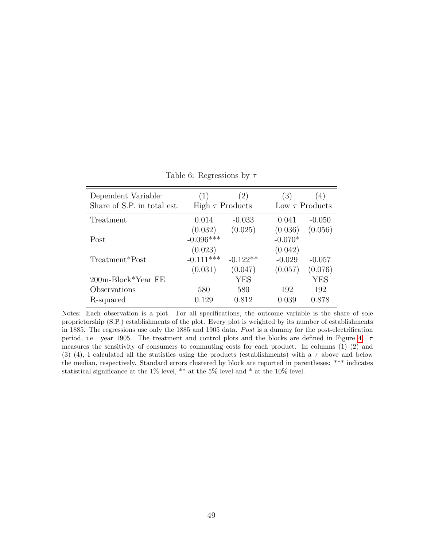| Dependent Variable:<br>Share of S.P. in total est. | (1)<br>High $\tau$ Products | (2)        | $\left(3\right)$ | $\left(4\right)$<br>Low $\tau$ Products |
|----------------------------------------------------|-----------------------------|------------|------------------|-----------------------------------------|
|                                                    |                             |            |                  |                                         |
| Treatment                                          | 0.014                       | $-0.033$   | 0.041            | $-0.050$                                |
|                                                    | (0.032)                     | (0.025)    | (0.036)          | (0.056)                                 |
| Post                                               | $-0.096***$                 |            | $-0.070*$        |                                         |
|                                                    | (0.023)                     |            | (0.042)          |                                         |
| Treatment*Post                                     | $-0.111***$                 | $-0.122**$ | $-0.029$         | $-0.057$                                |
|                                                    | (0.031)                     | (0.047)    | (0.057)          | (0.076)                                 |
| $200m-Block*Year$ FE                               |                             | YES        |                  | <b>YES</b>                              |
| Observations                                       | 580                         | 580        | 192              | 192                                     |
| R-squared                                          | 0.129                       | 0.812      | 0.039            | 0.878                                   |

<span id="page-48-0"></span>Table 6: Regressions by  $\tau$ 

Notes: Each observation is a plot. For all specifications, the outcome variable is the share of sole proprietorship (S.P.) establishments of the plot. Every plot is weighted by its number of establishments in 1885. The regressions use only the 1885 and 1905 data. Post is a dummy for the post-electrification period, i.e. year 1905. The treatment and control plots and the blocks are defined in Figure [4.](#page-36-0)  $\tau$ measures the sensitivity of consumers to commuting costs for each product. In columns (1) (2) and (3) (4), I calculated all the statistics using the products (establishments) with a  $\tau$  above and below the median, respectively. Standard errors clustered by block are reported in parentheses: \*\*\* indicates statistical significance at the 1% level, \*\* at the 5% level and \* at the 10% level.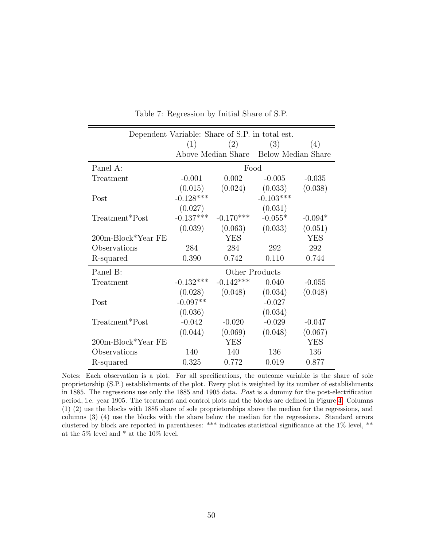| Dependent Variable: Share of S.P. in total est. |             |                |                                       |            |  |
|-------------------------------------------------|-------------|----------------|---------------------------------------|------------|--|
|                                                 | (1)<br>(2)  |                | (3)                                   | (4)        |  |
|                                                 |             |                | Above Median Share Below Median Share |            |  |
| Panel A:                                        | Food        |                |                                       |            |  |
| Treatment                                       | $-0.001$    | 0.002          | $-0.005$                              | $-0.035$   |  |
|                                                 | (0.015)     | (0.024)        | (0.033)                               | (0.038)    |  |
| Post                                            | $-0.128***$ |                | $-0.103***$                           |            |  |
|                                                 | (0.027)     |                | (0.031)                               |            |  |
| Treatment*Post                                  | $-0.137***$ | $-0.170***$    | $-0.055*$                             | $-0.094*$  |  |
|                                                 | (0.039)     | (0.063)        | (0.033)                               | (0.051)    |  |
| 200m-Block*Year FE                              |             | <b>YES</b>     |                                       | <b>YES</b> |  |
| Observations                                    | 284         | 284            | 292                                   | 292        |  |
| R-squared                                       | 0.390       | 0.742          | 0.110                                 | 0.744      |  |
| Panel B:                                        |             | Other Products |                                       |            |  |
| Treatment                                       | $-0.132***$ | $-0.142***$    | 0.040                                 | $-0.055$   |  |
|                                                 | (0.028)     | (0.048)        | (0.034)                               | (0.048)    |  |
| Post                                            | $-0.097**$  |                | $-0.027$                              |            |  |
|                                                 | (0.036)     |                | (0.034)                               |            |  |
| Treatment*Post                                  | $-0.042$    | $-0.020$       | $-0.029$                              | $-0.047$   |  |
|                                                 | (0.044)     | (0.069)        | (0.048)                               | (0.067)    |  |
| 200m-Block*Year FE                              |             | <b>YES</b>     |                                       | <b>YES</b> |  |
| Observations                                    | 140         | 140            | 136                                   | 136        |  |
| R-squared                                       | 0.325       | 0.772          | 0.019                                 | 0.877      |  |

<span id="page-49-0"></span>Table 7: Regression by Initial Share of S.P.

Notes: Each observation is a plot. For all specifications, the outcome variable is the share of sole proprietorship (S.P.) establishments of the plot. Every plot is weighted by its number of establishments in 1885. The regressions use only the 1885 and 1905 data. Post is a dummy for the post-electrification period, i.e. year 1905. The treatment and control plots and the blocks are defined in Figure [4.](#page-36-0) Columns (1) (2) use the blocks with 1885 share of sole proprietorships above the median for the regressions, and columns (3) (4) use the blocks with the share below the median for the regressions. Standard errors clustered by block are reported in parentheses: \*\*\* indicates statistical significance at the 1% level, \*\* at the 5% level and \* at the 10% level.